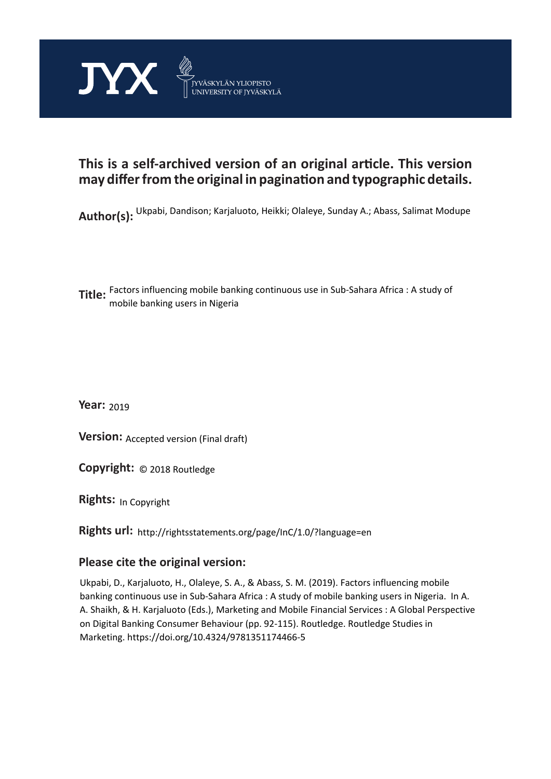

## **This is a self-archived version of an original article. This version may differ from the original in pagination and typographic details.**

**Author(s):**  Ukpabi, Dandison; Karjaluoto, Heikki; Olaleye, Sunday A.; Abass, Salimat Modupe

**Title:**  Factors influencing mobile banking continuous use in Sub-Sahara Africa : A study of mobile banking users in Nigeria

**Year:**  2019

**Version:** Accepted version (Final draft)<br>**Copyright:** © 2018 Routledge

**Copyright:**

**Rights:** In Copyright

**Rights url:**  http://rightsstatements.org/page/InC/1.0/?language=en

## **Please cite the original version:**

Ukpabi, D., Karjaluoto, H., Olaleye, S. A., & Abass, S. M. (2019). Factors influencing mobile banking continuous use in Sub-Sahara Africa : A study of mobile banking users in Nigeria. In A. A. Shaikh, & H. Karjaluoto (Eds.), Marketing and Mobile Financial Services : A Global Perspective on Digital Banking Consumer Behaviour (pp. 92-115). Routledge. Routledge Studies in Marketing. https://doi.org/10.4324/9781351174466-5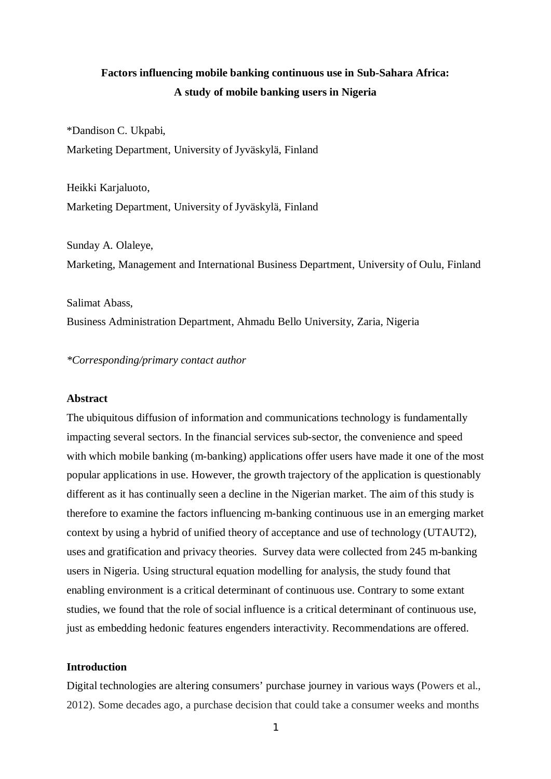## **Factors influencing mobile banking continuous use in Sub-Sahara Africa: A study of mobile banking users in Nigeria**

\*Dandison C. Ukpabi, Marketing Department, University of Jyväskylä, Finland

Heikki Karjaluoto, Marketing Department, University of Jyväskylä, Finland

Sunday A. Olaleye, Marketing, Management and International Business Department, University of Oulu, Finland

Salimat Abass, Business Administration Department, Ahmadu Bello University, Zaria, Nigeria

*\*Corresponding/primary contact author*

## **Abstract**

The ubiquitous diffusion of information and communications technology is fundamentally impacting several sectors. In the financial services sub-sector, the convenience and speed with which mobile banking (m-banking) applications offer users have made it one of the most popular applications in use. However, the growth trajectory of the application is questionably different as it has continually seen a decline in the Nigerian market. The aim of this study is therefore to examine the factors influencing m-banking continuous use in an emerging market context by using a hybrid of unified theory of acceptance and use of technology (UTAUT2), uses and gratification and privacy theories. Survey data were collected from 245 m-banking users in Nigeria. Using structural equation modelling for analysis, the study found that enabling environment is a critical determinant of continuous use. Contrary to some extant studies, we found that the role of social influence is a critical determinant of continuous use, just as embedding hedonic features engenders interactivity. Recommendations are offered.

## **Introduction**

Digital technologies are altering consumers' purchase journey in various ways (Powers et al., 2012). Some decades ago, a purchase decision that could take a consumer weeks and months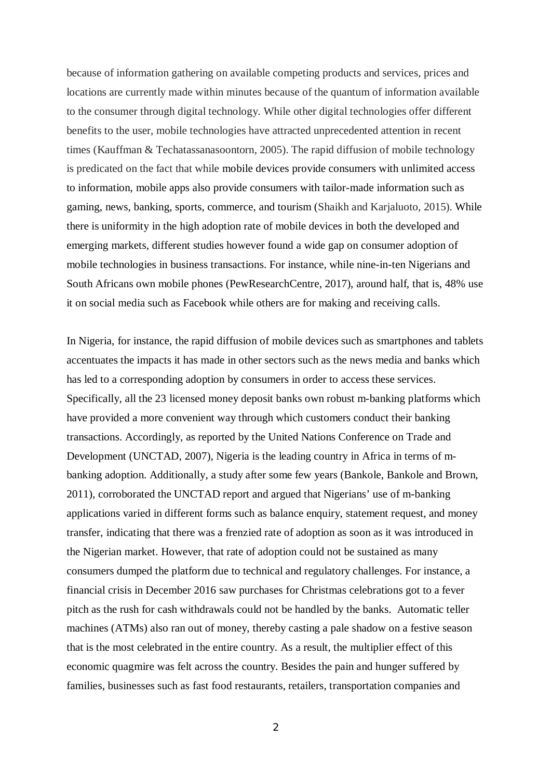because of information gathering on available competing products and services, prices and locations are currently made within minutes because of the quantum of information available to the consumer through digital technology. While other digital technologies offer different benefits to the user, mobile technologies have attracted unprecedented attention in recent times (Kauffman & Techatassanasoontorn, 2005). The rapid diffusion of mobile technology is predicated on the fact that while mobile devices provide consumers with unlimited access to information, mobile apps also provide consumers with tailor-made information such as gaming, news, banking, sports, commerce, and tourism (Shaikh and Karjaluoto, 2015). While there is uniformity in the high adoption rate of mobile devices in both the developed and emerging markets, different studies however found a wide gap on consumer adoption of mobile technologies in business transactions. For instance, while nine-in-ten Nigerians and South Africans own mobile phones (PewResearchCentre, 2017), around half, that is, 48% use it on social media such as Facebook while others are for making and receiving calls.

In Nigeria, for instance, the rapid diffusion of mobile devices such as smartphones and tablets accentuates the impacts it has made in other sectors such as the news media and banks which has led to a corresponding adoption by consumers in order to access these services. Specifically, all the 23 licensed money deposit banks own robust m-banking platforms which have provided a more convenient way through which customers conduct their banking transactions. Accordingly, as reported by the United Nations Conference on Trade and Development (UNCTAD, 2007), Nigeria is the leading country in Africa in terms of mbanking adoption. Additionally, a study after some few years (Bankole, Bankole and Brown, 2011), corroborated the UNCTAD report and argued that Nigerians' use of m-banking applications varied in different forms such as balance enquiry, statement request, and money transfer, indicating that there was a frenzied rate of adoption as soon as it was introduced in the Nigerian market. However, that rate of adoption could not be sustained as many consumers dumped the platform due to technical and regulatory challenges. For instance, a financial crisis in December 2016 saw purchases for Christmas celebrations got to a fever pitch as the rush for cash withdrawals could not be handled by the banks. Automatic teller machines (ATMs) also ran out of money, thereby casting a pale shadow on a festive season that is the most celebrated in the entire country. As a result, the multiplier effect of this economic quagmire was felt across the country. Besides the pain and hunger suffered by families, businesses such as fast food restaurants, retailers, transportation companies and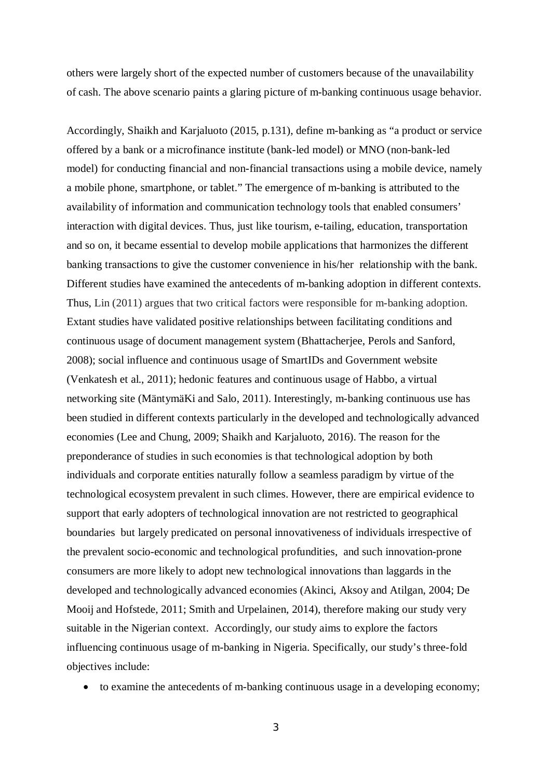others were largely short of the expected number of customers because of the unavailability of cash. The above scenario paints a glaring picture of m-banking continuous usage behavior.

Accordingly, Shaikh and Karjaluoto (2015, p.131), define m-banking as "a product or service offered by a bank or a microfinance institute (bank-led model) or MNO (non-bank-led model) for conducting financial and non-financial transactions using a mobile device, namely a mobile phone, smartphone, or tablet." The emergence of m-banking is attributed to the availability of information and communication technology tools that enabled consumers' interaction with digital devices. Thus, just like tourism, e-tailing, education, transportation and so on, it became essential to develop mobile applications that harmonizes the different banking transactions to give the customer convenience in his/her relationship with the bank. Different studies have examined the antecedents of m-banking adoption in different contexts. Thus, Lin (2011) argues that two critical factors were responsible for m-banking adoption. Extant studies have validated positive relationships between facilitating conditions and continuous usage of document management system (Bhattacherjee, Perols and Sanford, 2008); social influence and continuous usage of SmartIDs and Government website (Venkatesh et al., 2011); hedonic features and continuous usage of Habbo, a virtual networking site (MäntymäKi and Salo, 2011). Interestingly, m-banking continuous use has been studied in different contexts particularly in the developed and technologically advanced economies (Lee and Chung, 2009; Shaikh and Karjaluoto, 2016). The reason for the preponderance of studies in such economies is that technological adoption by both individuals and corporate entities naturally follow a seamless paradigm by virtue of the technological ecosystem prevalent in such climes. However, there are empirical evidence to support that early adopters of technological innovation are not restricted to geographical boundaries but largely predicated on personal innovativeness of individuals irrespective of the prevalent socio-economic and technological profundities, and such innovation-prone consumers are more likely to adopt new technological innovations than laggards in the developed and technologically advanced economies (Akinci, Aksoy and Atilgan, 2004; De Mooij and Hofstede, 2011; Smith and Urpelainen, 2014), therefore making our study very suitable in the Nigerian context. Accordingly, our study aims to explore the factors influencing continuous usage of m-banking in Nigeria. Specifically, our study's three-fold objectives include:

· to examine the antecedents of m-banking continuous usage in a developing economy;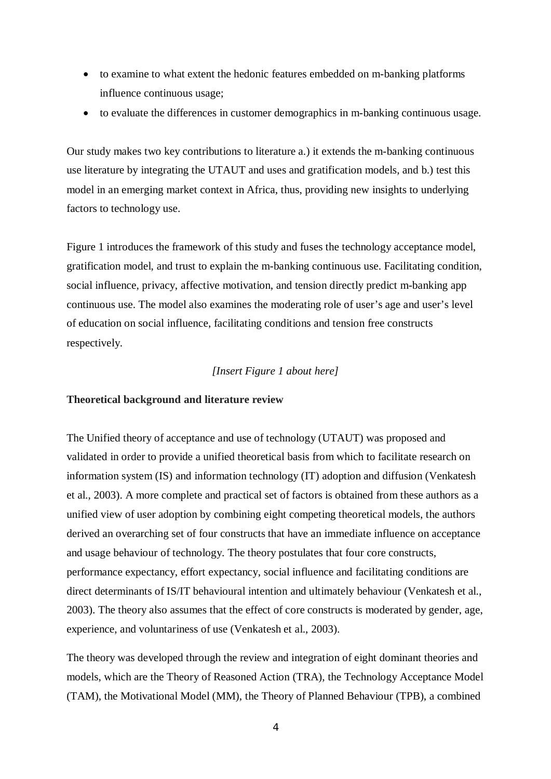- · to examine to what extent the hedonic features embedded on m-banking platforms influence continuous usage;
- · to evaluate the differences in customer demographics in m-banking continuous usage.

Our study makes two key contributions to literature a.) it extends the m-banking continuous use literature by integrating the UTAUT and uses and gratification models, and b.) test this model in an emerging market context in Africa, thus, providing new insights to underlying factors to technology use.

Figure 1 introduces the framework of this study and fuses the technology acceptance model, gratification model, and trust to explain the m-banking continuous use. Facilitating condition, social influence, privacy, affective motivation, and tension directly predict m-banking app continuous use. The model also examines the moderating role of user's age and user's level of education on social influence, facilitating conditions and tension free constructs respectively.

#### *[Insert Figure 1 about here]*

## **Theoretical background and literature review**

The Unified theory of acceptance and use of technology (UTAUT) was proposed and validated in order to provide a unified theoretical basis from which to facilitate research on information system (IS) and information technology (IT) adoption and diffusion (Venkatesh et al., 2003). A more complete and practical set of factors is obtained from these authors as a unified view of user adoption by combining eight competing theoretical models, the authors derived an overarching set of four constructs that have an immediate influence on acceptance and usage behaviour of technology. The theory postulates that four core constructs, performance expectancy, effort expectancy, social influence and facilitating conditions are direct determinants of IS/IT behavioural intention and ultimately behaviour (Venkatesh et al., 2003). The theory also assumes that the effect of core constructs is moderated by gender, age, experience, and voluntariness of use (Venkatesh et al., 2003).

The theory was developed through the review and integration of eight dominant theories and models, which are the Theory of Reasoned Action (TRA), the Technology Acceptance Model (TAM), the Motivational Model (MM), the Theory of Planned Behaviour (TPB), a combined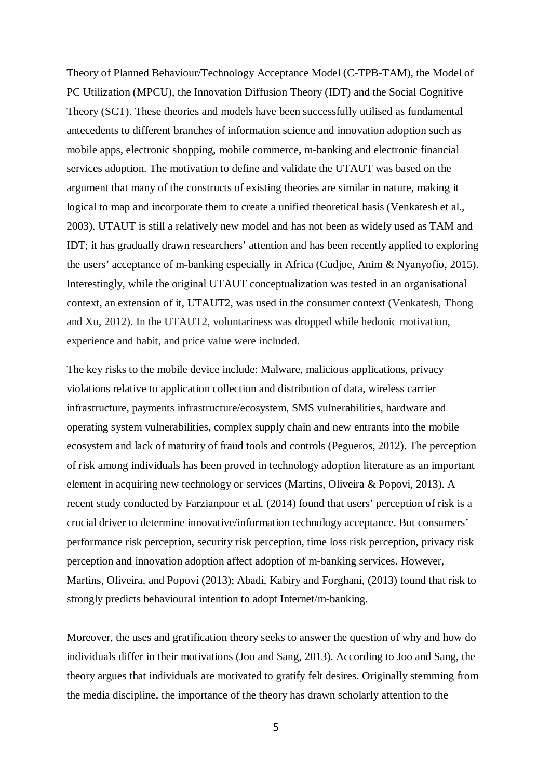Theory of Planned Behaviour/Technology Acceptance Model (C-TPB-TAM), the Model of PC Utilization (MPCU), the Innovation Diffusion Theory (IDT) and the Social Cognitive Theory (SCT). These theories and models have been successfully utilised as fundamental antecedents to different branches of information science and innovation adoption such as mobile apps, electronic shopping, mobile commerce, m-banking and electronic financial services adoption. The motivation to define and validate the UTAUT was based on the argument that many of the constructs of existing theories are similar in nature, making it logical to map and incorporate them to create a unified theoretical basis (Venkatesh et al., 2003). UTAUT is still a relatively new model and has not been as widely used as TAM and IDT; it has gradually drawn researchers' attention and has been recently applied to exploring the users' acceptance of m-banking especially in Africa (Cudjoe, Anim & Nyanyofio, 2015). Interestingly, while the original UTAUT conceptualization was tested in an organisational context, an extension of it, UTAUT2, was used in the consumer context (Venkatesh, Thong and Xu, 2012). In the UTAUT2, voluntariness was dropped while hedonic motivation, experience and habit, and price value were included.

The key risks to the mobile device include: Malware, malicious applications, privacy violations relative to application collection and distribution of data, wireless carrier infrastructure, payments infrastructure/ecosystem, SMS vulnerabilities, hardware and operating system vulnerabilities, complex supply chain and new entrants into the mobile ecosystem and lack of maturity of fraud tools and controls (Pegueros, 2012). The perception of risk among individuals has been proved in technology adoption literature as an important element in acquiring new technology or services (Martins, Oliveira & Popovi, 2013). A recent study conducted by Farzianpour et al. (2014) found that users' perception of risk is a crucial driver to determine innovative/information technology acceptance. But consumers' performance risk perception, security risk perception, time loss risk perception, privacy risk perception and innovation adoption affect adoption of m-banking services. However, Martins, Oliveira, and Popovi (2013); Abadi, Kabiry and Forghani, (2013) found that risk to strongly predicts behavioural intention to adopt Internet/m-banking.

Moreover, the uses and gratification theory seeks to answer the question of why and how do individuals differ in their motivations (Joo and Sang, 2013). According to Joo and Sang, the theory argues that individuals are motivated to gratify felt desires. Originally stemming from the media discipline, the importance of the theory has drawn scholarly attention to the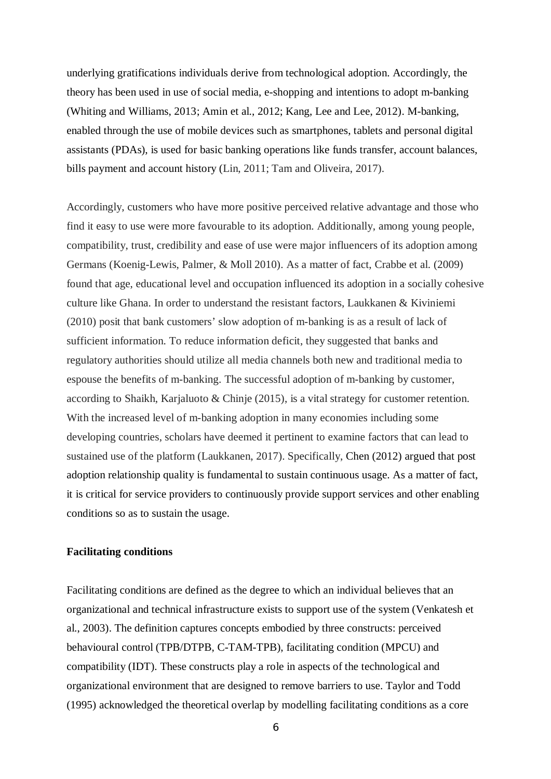underlying gratifications individuals derive from technological adoption. Accordingly, the theory has been used in use of social media, e-shopping and intentions to adopt m-banking (Whiting and Williams, 2013; Amin et al., 2012; Kang, Lee and Lee, 2012). M-banking, enabled through the use of mobile devices such as smartphones, tablets and personal digital assistants (PDAs), is used for basic banking operations like funds transfer, account balances, bills payment and account history (Lin, 2011; Tam and Oliveira, 2017).

Accordingly, customers who have more positive perceived relative advantage and those who find it easy to use were more favourable to its adoption. Additionally, among young people, compatibility, trust, credibility and ease of use were major influencers of its adoption among Germans (Koenig-Lewis, Palmer, & Moll 2010). As a matter of fact, Crabbe et al. (2009) found that age, educational level and occupation influenced its adoption in a socially cohesive culture like Ghana. In order to understand the resistant factors, Laukkanen & Kiviniemi (2010) posit that bank customers' slow adoption of m-banking is as a result of lack of sufficient information. To reduce information deficit, they suggested that banks and regulatory authorities should utilize all media channels both new and traditional media to espouse the benefits of m-banking. The successful adoption of m-banking by customer, according to Shaikh, Karjaluoto & Chinje (2015), is a vital strategy for customer retention. With the increased level of m-banking adoption in many economies including some developing countries, scholars have deemed it pertinent to examine factors that can lead to sustained use of the platform (Laukkanen, 2017). Specifically, Chen (2012) argued that post adoption relationship quality is fundamental to sustain continuous usage. As a matter of fact, it is critical for service providers to continuously provide support services and other enabling conditions so as to sustain the usage.

## **Facilitating conditions**

Facilitating conditions are defined as the degree to which an individual believes that an organizational and technical infrastructure exists to support use of the system (Venkatesh et al., 2003). The definition captures concepts embodied by three constructs: perceived behavioural control (TPB/DTPB, C-TAM-TPB), facilitating condition (MPCU) and compatibility (IDT). These constructs play a role in aspects of the technological and organizational environment that are designed to remove barriers to use. Taylor and Todd (1995) acknowledged the theoretical overlap by modelling facilitating conditions as a core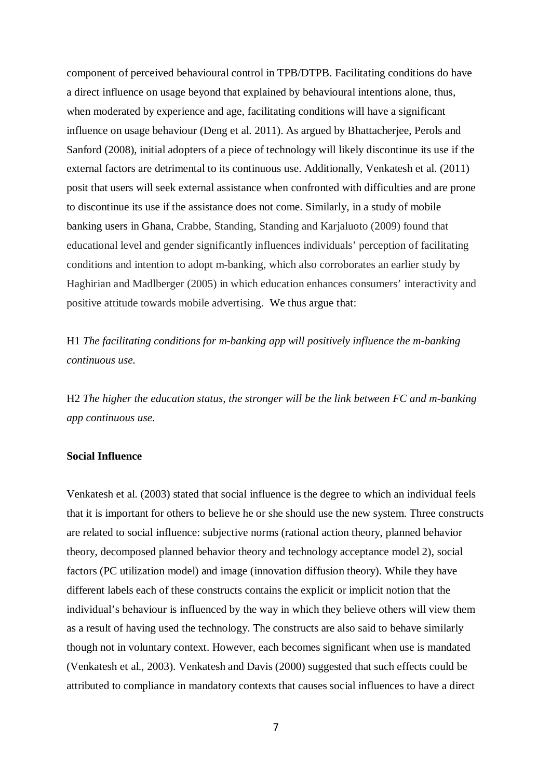component of perceived behavioural control in TPB/DTPB. Facilitating conditions do have a direct influence on usage beyond that explained by behavioural intentions alone, thus, when moderated by experience and age, facilitating conditions will have a significant influence on usage behaviour (Deng et al. 2011). As argued by Bhattacherjee, Perols and Sanford (2008), initial adopters of a piece of technology will likely discontinue its use if the external factors are detrimental to its continuous use. Additionally, Venkatesh et al. (2011) posit that users will seek external assistance when confronted with difficulties and are prone to discontinue its use if the assistance does not come. Similarly, in a study of mobile banking users in Ghana, Crabbe, Standing, Standing and Karjaluoto (2009) found that educational level and gender significantly influences individuals' perception of facilitating conditions and intention to adopt m-banking, which also corroborates an earlier study by Haghirian and Madlberger (2005) in which education enhances consumers' interactivity and positive attitude towards mobile advertising. We thus argue that:

H1 *The facilitating conditions for m-banking app will positively influence the m-banking continuous use.*

H2 *The higher the education status, the stronger will be the link between FC and m-banking app continuous use.*

#### **Social Influence**

Venkatesh et al. (2003) stated that social influence is the degree to which an individual feels that it is important for others to believe he or she should use the new system. Three constructs are related to social influence: subjective norms (rational action theory, planned behavior theory, decomposed planned behavior theory and technology acceptance model 2), social factors (PC utilization model) and image (innovation diffusion theory). While they have different labels each of these constructs contains the explicit or implicit notion that the individual's behaviour is influenced by the way in which they believe others will view them as a result of having used the technology. The constructs are also said to behave similarly though not in voluntary context. However, each becomes significant when use is mandated (Venkatesh et al., 2003). Venkatesh and Davis (2000) suggested that such effects could be attributed to compliance in mandatory contexts that causes social influences to have a direct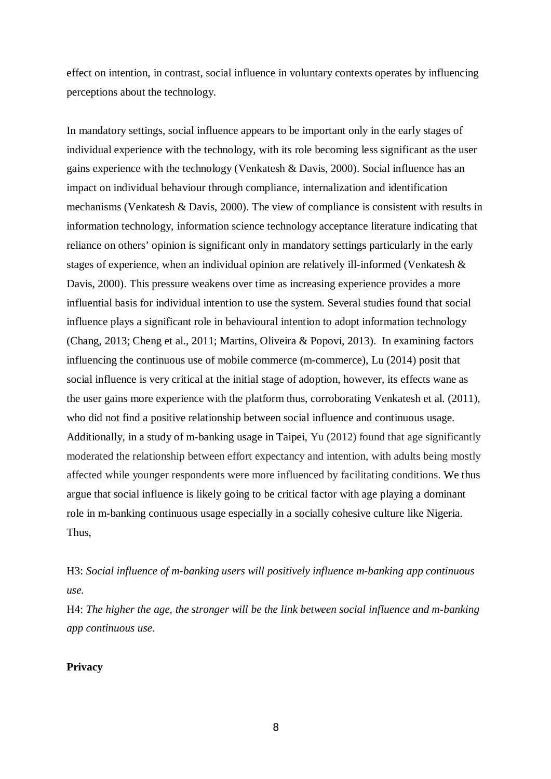effect on intention, in contrast, social influence in voluntary contexts operates by influencing perceptions about the technology.

In mandatory settings, social influence appears to be important only in the early stages of individual experience with the technology, with its role becoming less significant as the user gains experience with the technology (Venkatesh & Davis, 2000). Social influence has an impact on individual behaviour through compliance, internalization and identification mechanisms (Venkatesh & Davis, 2000). The view of compliance is consistent with results in information technology, information science technology acceptance literature indicating that reliance on others' opinion is significant only in mandatory settings particularly in the early stages of experience, when an individual opinion are relatively ill-informed (Venkatesh & Davis, 2000). This pressure weakens over time as increasing experience provides a more influential basis for individual intention to use the system. Several studies found that social influence plays a significant role in behavioural intention to adopt information technology (Chang, 2013; Cheng et al., 2011; Martins, Oliveira & Popovi, 2013). In examining factors influencing the continuous use of mobile commerce (m-commerce), Lu (2014) posit that social influence is very critical at the initial stage of adoption, however, its effects wane as the user gains more experience with the platform thus, corroborating Venkatesh et al. (2011), who did not find a positive relationship between social influence and continuous usage. Additionally, in a study of m-banking usage in Taipei, Yu (2012) found that age significantly moderated the relationship between effort expectancy and intention, with adults being mostly affected while younger respondents were more influenced by facilitating conditions. We thus argue that social influence is likely going to be critical factor with age playing a dominant role in m-banking continuous usage especially in a socially cohesive culture like Nigeria. Thus,

H3: *Social influence of m-banking users will positively influence m-banking app continuous use.*

H4: *The higher the age, the stronger will be the link between social influence and m-banking app continuous use.*

## **Privacy**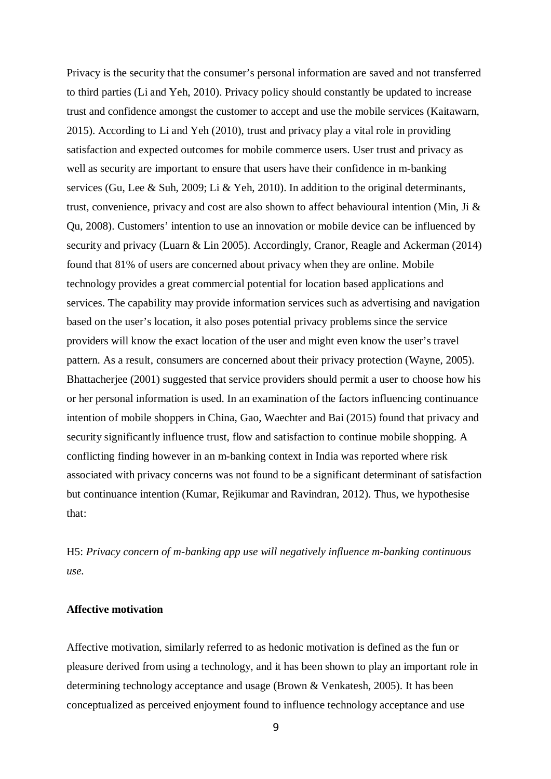Privacy is the security that the consumer's personal information are saved and not transferred to third parties (Li and Yeh, 2010). Privacy policy should constantly be updated to increase trust and confidence amongst the customer to accept and use the mobile services (Kaitawarn, 2015). According to Li and Yeh (2010), trust and privacy play a vital role in providing satisfaction and expected outcomes for mobile commerce users. User trust and privacy as well as security are important to ensure that users have their confidence in m-banking services (Gu, Lee & Suh, 2009; Li & Yeh, 2010). In addition to the original determinants, trust, convenience, privacy and cost are also shown to affect behavioural intention (Min, Ji & Qu, 2008). Customers' intention to use an innovation or mobile device can be influenced by security and privacy (Luarn & Lin 2005). Accordingly, Cranor, Reagle and Ackerman (2014) found that 81% of users are concerned about privacy when they are online. Mobile technology provides a great commercial potential for location based applications and services. The capability may provide information services such as advertising and navigation based on the user's location, it also poses potential privacy problems since the service providers will know the exact location of the user and might even know the user's travel pattern. As a result, consumers are concerned about their privacy protection (Wayne, 2005). Bhattacherjee (2001) suggested that service providers should permit a user to choose how his or her personal information is used. In an examination of the factors influencing continuance intention of mobile shoppers in China, Gao, Waechter and Bai (2015) found that privacy and security significantly influence trust, flow and satisfaction to continue mobile shopping. A conflicting finding however in an m-banking context in India was reported where risk associated with privacy concerns was not found to be a significant determinant of satisfaction but continuance intention (Kumar, Rejikumar and Ravindran, 2012). Thus, we hypothesise that:

H5: *Privacy concern of m-banking app use will negatively influence m-banking continuous use.*

#### **Affective motivation**

Affective motivation, similarly referred to as hedonic motivation is defined as the fun or pleasure derived from using a technology, and it has been shown to play an important role in determining technology acceptance and usage (Brown & Venkatesh, 2005). It has been conceptualized as perceived enjoyment found to influence technology acceptance and use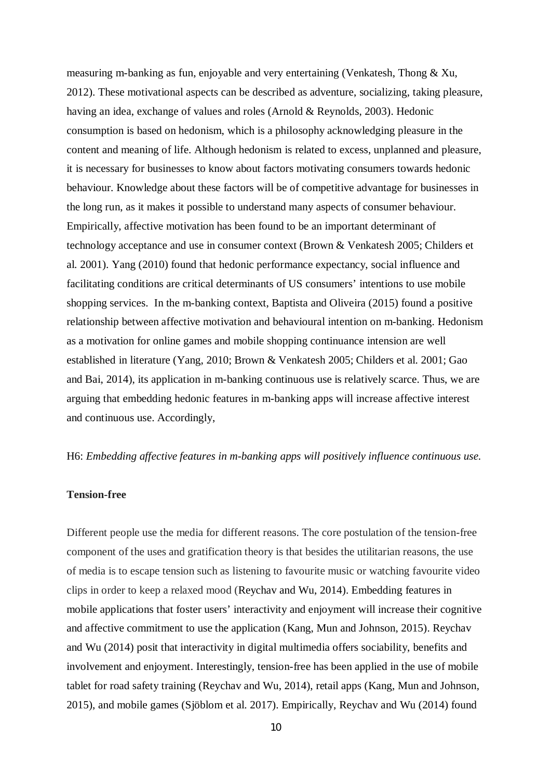measuring m-banking as fun, enjoyable and very entertaining (Venkatesh, Thong & Xu, 2012). These motivational aspects can be described as adventure, socializing, taking pleasure, having an idea, exchange of values and roles (Arnold & Reynolds, 2003). Hedonic consumption is based on hedonism, which is a philosophy acknowledging pleasure in the content and meaning of life. Although hedonism is related to excess, unplanned and pleasure, it is necessary for businesses to know about factors motivating consumers towards hedonic behaviour. Knowledge about these factors will be of competitive advantage for businesses in the long run, as it makes it possible to understand many aspects of consumer behaviour. Empirically, affective motivation has been found to be an important determinant of technology acceptance and use in consumer context (Brown & Venkatesh 2005; Childers et al. 2001). Yang (2010) found that hedonic performance expectancy, social influence and facilitating conditions are critical determinants of US consumers' intentions to use mobile shopping services. In the m-banking context, Baptista and Oliveira (2015) found a positive relationship between affective motivation and behavioural intention on m-banking. Hedonism as a motivation for online games and mobile shopping continuance intension are well established in literature (Yang, 2010; Brown & Venkatesh 2005; Childers et al. 2001; Gao and Bai, 2014), its application in m-banking continuous use is relatively scarce. Thus, we are arguing that embedding hedonic features in m-banking apps will increase affective interest and continuous use. Accordingly,

H6: *Embedding affective features in m-banking apps will positively influence continuous use.*

## **Tension-free**

Different people use the media for different reasons. The core postulation of the tension-free component of the uses and gratification theory is that besides the utilitarian reasons, the use of media is to escape tension such as listening to favourite music or watching favourite video clips in order to keep a relaxed mood (Reychav and Wu, 2014). Embedding features in mobile applications that foster users' interactivity and enjoyment will increase their cognitive and affective commitment to use the application (Kang, Mun and Johnson, 2015). Reychav and Wu (2014) posit that interactivity in digital multimedia offers sociability, benefits and involvement and enjoyment. Interestingly, tension-free has been applied in the use of mobile tablet for road safety training (Reychav and Wu, 2014), retail apps (Kang, Mun and Johnson, 2015), and mobile games (Sjöblom et al. 2017). Empirically, Reychav and Wu (2014) found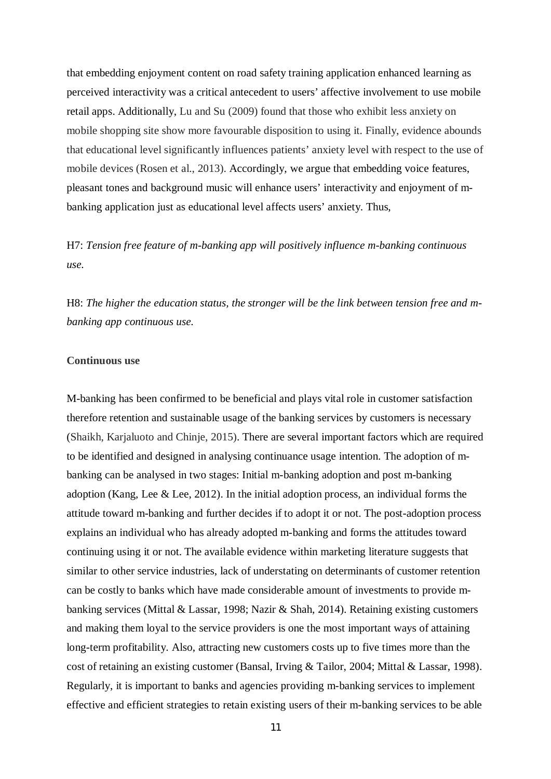that embedding enjoyment content on road safety training application enhanced learning as perceived interactivity was a critical antecedent to users' affective involvement to use mobile retail apps. Additionally, Lu and Su (2009) found that those who exhibit less anxiety on mobile shopping site show more favourable disposition to using it. Finally, evidence abounds that educational level significantly influences patients' anxiety level with respect to the use of mobile devices (Rosen et al., 2013). Accordingly, we argue that embedding voice features, pleasant tones and background music will enhance users' interactivity and enjoyment of mbanking application just as educational level affects users' anxiety. Thus,

H7: *Tension free feature of m-banking app will positively influence m-banking continuous use.*

H8: *The higher the education status, the stronger will be the link between tension free and mbanking app continuous use.*

## **Continuous use**

M-banking has been confirmed to be beneficial and plays vital role in customer satisfaction therefore retention and sustainable usage of the banking services by customers is necessary (Shaikh, Karjaluoto and Chinje, 2015). There are several important factors which are required to be identified and designed in analysing continuance usage intention. The adoption of mbanking can be analysed in two stages: Initial m-banking adoption and post m-banking adoption (Kang, Lee & Lee, 2012). In the initial adoption process, an individual forms the attitude toward m-banking and further decides if to adopt it or not. The post-adoption process explains an individual who has already adopted m-banking and forms the attitudes toward continuing using it or not. The available evidence within marketing literature suggests that similar to other service industries, lack of understating on determinants of customer retention can be costly to banks which have made considerable amount of investments to provide mbanking services (Mittal & Lassar, 1998; Nazir & Shah, 2014). Retaining existing customers and making them loyal to the service providers is one the most important ways of attaining long-term profitability. Also, attracting new customers costs up to five times more than the cost of retaining an existing customer (Bansal, Irving & Tailor, 2004; Mittal & Lassar, 1998). Regularly, it is important to banks and agencies providing m-banking services to implement effective and efficient strategies to retain existing users of their m-banking services to be able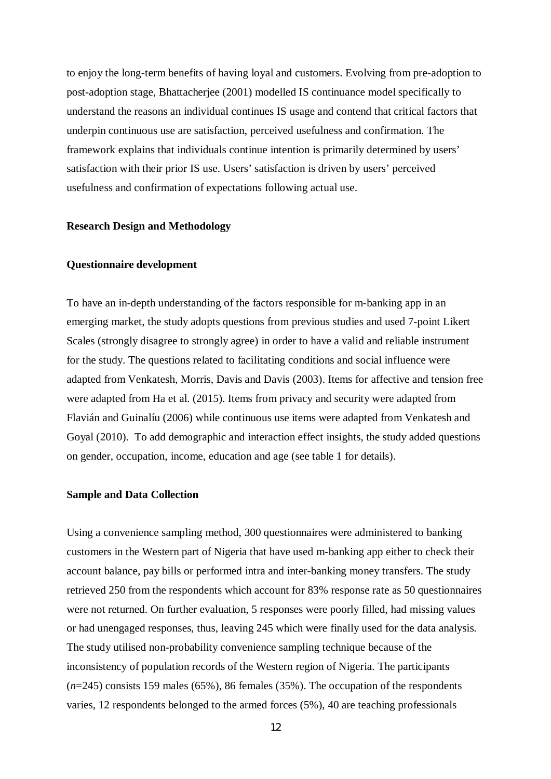to enjoy the long-term benefits of having loyal and customers. Evolving from pre-adoption to post-adoption stage, Bhattacherjee (2001) modelled IS continuance model specifically to understand the reasons an individual continues IS usage and contend that critical factors that underpin continuous use are satisfaction, perceived usefulness and confirmation. The framework explains that individuals continue intention is primarily determined by users' satisfaction with their prior IS use. Users' satisfaction is driven by users' perceived usefulness and confirmation of expectations following actual use.

#### **Research Design and Methodology**

#### **Questionnaire development**

To have an in-depth understanding of the factors responsible for m-banking app in an emerging market, the study adopts questions from previous studies and used 7-point Likert Scales (strongly disagree to strongly agree) in order to have a valid and reliable instrument for the study. The questions related to facilitating conditions and social influence were adapted from Venkatesh, Morris, Davis and Davis (2003). Items for affective and tension free were adapted from Ha et al. (2015). Items from privacy and security were adapted from Flavián and Guinalíu (2006) while continuous use items were adapted from Venkatesh and Goyal (2010). To add demographic and interaction effect insights, the study added questions on gender, occupation, income, education and age (see table 1 for details).

#### **Sample and Data Collection**

Using a convenience sampling method, 300 questionnaires were administered to banking customers in the Western part of Nigeria that have used m-banking app either to check their account balance, pay bills or performed intra and inter-banking money transfers. The study retrieved 250 from the respondents which account for 83% response rate as 50 questionnaires were not returned. On further evaluation, 5 responses were poorly filled, had missing values or had unengaged responses, thus, leaving 245 which were finally used for the data analysis. The study utilised non-probability convenience sampling technique because of the inconsistency of population records of the Western region of Nigeria. The participants (*n*=245) consists 159 males (65%), 86 females (35%). The occupation of the respondents varies, 12 respondents belonged to the armed forces (5%), 40 are teaching professionals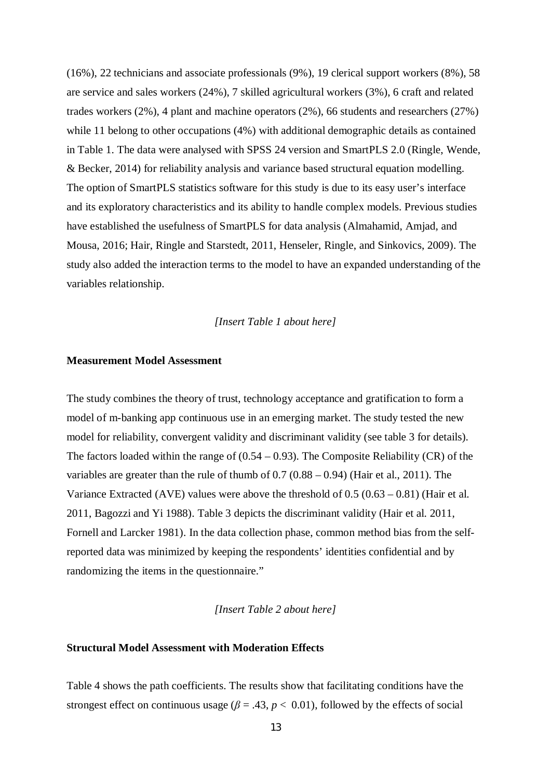(16%), 22 technicians and associate professionals (9%), 19 clerical support workers (8%), 58 are service and sales workers (24%), 7 skilled agricultural workers (3%), 6 craft and related trades workers (2%), 4 plant and machine operators (2%), 66 students and researchers (27%) while 11 belong to other occupations (4%) with additional demographic details as contained in Table 1. The data were analysed with SPSS 24 version and SmartPLS 2.0 (Ringle, Wende, & Becker, 2014) for reliability analysis and variance based structural equation modelling. The option of SmartPLS statistics software for this study is due to its easy user's interface and its exploratory characteristics and its ability to handle complex models. Previous studies have established the usefulness of SmartPLS for data analysis (Almahamid, Amjad, and Mousa, 2016; Hair, Ringle and Starstedt, 2011, Henseler, Ringle, and Sinkovics, 2009). The study also added the interaction terms to the model to have an expanded understanding of the variables relationship.

*[Insert Table 1 about here]*

#### **Measurement Model Assessment**

The study combines the theory of trust, technology acceptance and gratification to form a model of m-banking app continuous use in an emerging market. The study tested the new model for reliability, convergent validity and discriminant validity (see table 3 for details). The factors loaded within the range of  $(0.54 - 0.93)$ . The Composite Reliability (CR) of the variables are greater than the rule of thumb of 0.7 (0.88 – 0.94) (Hair et al., 2011). The Variance Extracted (AVE) values were above the threshold of  $0.5 (0.63 - 0.81)$  (Hair et al. 2011, Bagozzi and Yi 1988). Table 3 depicts the discriminant validity (Hair et al. 2011, Fornell and Larcker 1981). In the data collection phase, common method bias from the selfreported data was minimized by keeping the respondents' identities confidential and by randomizing the items in the questionnaire."

*[Insert Table 2 about here]*

## **Structural Model Assessment with Moderation Effects**

Table 4 shows the path coefficients. The results show that facilitating conditions have the strongest effect on continuous usage ( $\beta$  = .43,  $p$  < 0.01), followed by the effects of social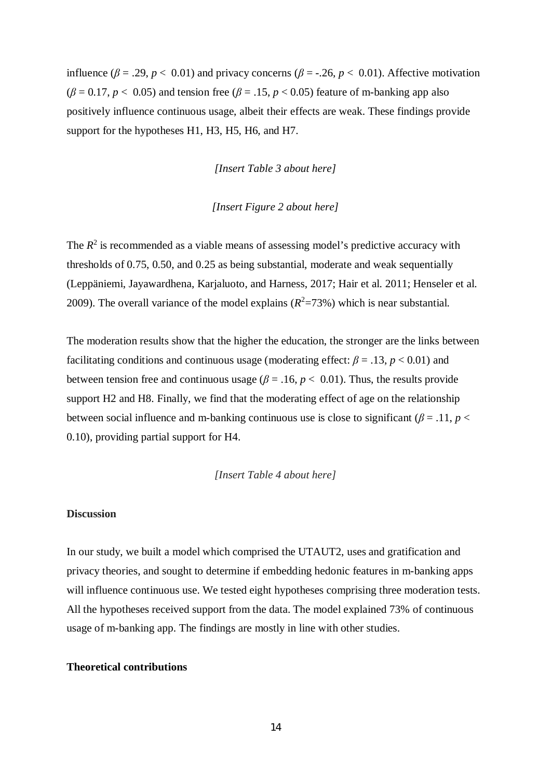influence ( $\beta$  = .29,  $p$  < 0.01) and privacy concerns ( $\beta$  = -.26,  $p$  < 0.01). Affective motivation  $(\beta = 0.17, p < 0.05)$  and tension free  $(\beta = .15, p < 0.05)$  feature of m-banking app also positively influence continuous usage, albeit their effects are weak. These findings provide support for the hypotheses H1, H3, H5, H6, and H7.

*[Insert Table 3 about here]*

## *[Insert Figure 2 about here]*

The  $R<sup>2</sup>$  is recommended as a viable means of assessing model's predictive accuracy with thresholds of 0.75, 0.50, and 0.25 as being substantial, moderate and weak sequentially (Leppäniemi, Jayawardhena, Karjaluoto, and Harness, 2017; Hair et al. 2011; Henseler et al. 2009). The overall variance of the model explains  $(R^2=73%)$  which is near substantial.

The moderation results show that the higher the education, the stronger are the links between facilitating conditions and continuous usage (moderating effect:  $\beta = .13$ ,  $p < 0.01$ ) and between tension free and continuous usage ( $\beta$  = .16,  $p$  < 0.01). Thus, the results provide support H2 and H8. Finally, we find that the moderating effect of age on the relationship between social influence and m-banking continuous use is close to significant ( $\beta$  = .11, *p* < 0.10), providing partial support for H4.

*[Insert Table 4 about here]*

## **Discussion**

In our study, we built a model which comprised the UTAUT2, uses and gratification and privacy theories, and sought to determine if embedding hedonic features in m-banking apps will influence continuous use. We tested eight hypotheses comprising three moderation tests. All the hypotheses received support from the data. The model explained 73% of continuous usage of m-banking app. The findings are mostly in line with other studies.

#### **Theoretical contributions**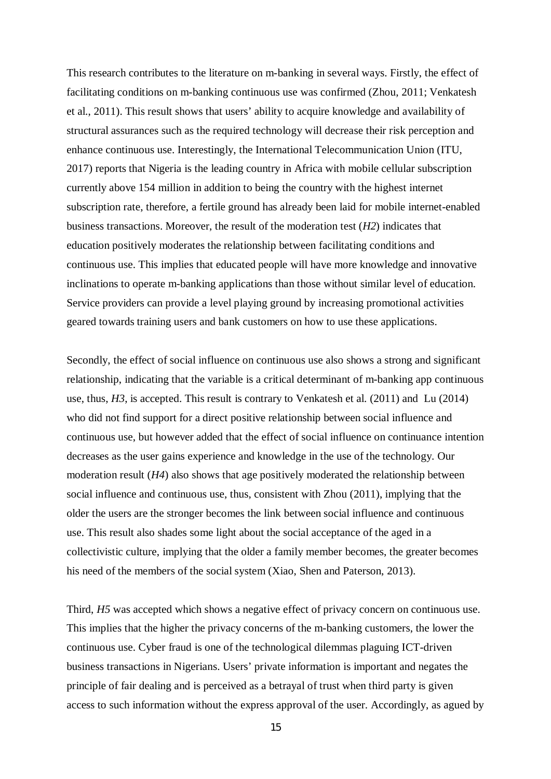This research contributes to the literature on m-banking in several ways. Firstly, the effect of facilitating conditions on m-banking continuous use was confirmed (Zhou, 2011; Venkatesh et al., 2011). This result shows that users' ability to acquire knowledge and availability of structural assurances such as the required technology will decrease their risk perception and enhance continuous use. Interestingly, the International Telecommunication Union (ITU, 2017) reports that Nigeria is the leading country in Africa with mobile cellular subscription currently above 154 million in addition to being the country with the highest internet subscription rate, therefore, a fertile ground has already been laid for mobile internet-enabled business transactions. Moreover, the result of the moderation test (*H2*) indicates that education positively moderates the relationship between facilitating conditions and continuous use. This implies that educated people will have more knowledge and innovative inclinations to operate m-banking applications than those without similar level of education. Service providers can provide a level playing ground by increasing promotional activities geared towards training users and bank customers on how to use these applications.

Secondly, the effect of social influence on continuous use also shows a strong and significant relationship, indicating that the variable is a critical determinant of m-banking app continuous use, thus, *H3*, is accepted. This result is contrary to Venkatesh et al. (2011) and Lu (2014) who did not find support for a direct positive relationship between social influence and continuous use, but however added that the effect of social influence on continuance intention decreases as the user gains experience and knowledge in the use of the technology. Our moderation result (*H4*) also shows that age positively moderated the relationship between social influence and continuous use, thus, consistent with Zhou (2011), implying that the older the users are the stronger becomes the link between social influence and continuous use. This result also shades some light about the social acceptance of the aged in a collectivistic culture, implying that the older a family member becomes, the greater becomes his need of the members of the social system (Xiao, Shen and Paterson, 2013).

Third, *H5* was accepted which shows a negative effect of privacy concern on continuous use. This implies that the higher the privacy concerns of the m-banking customers, the lower the continuous use. Cyber fraud is one of the technological dilemmas plaguing ICT-driven business transactions in Nigerians. Users' private information is important and negates the principle of fair dealing and is perceived as a betrayal of trust when third party is given access to such information without the express approval of the user. Accordingly, as agued by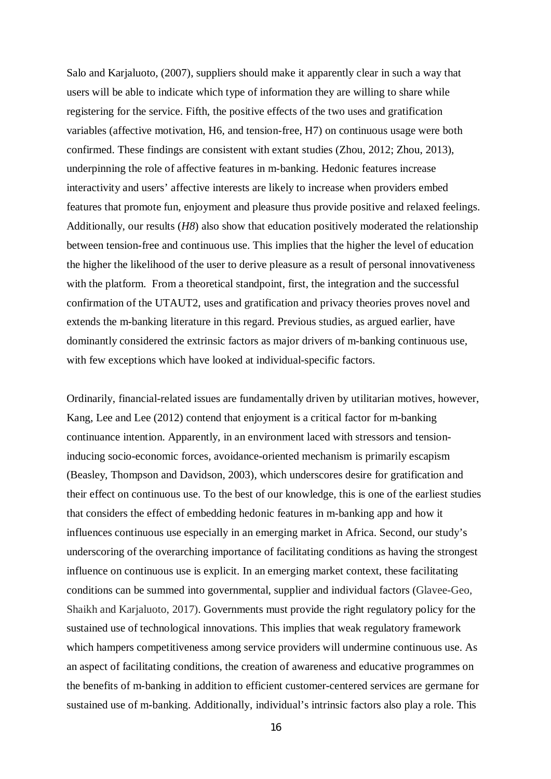Salo and Karjaluoto, (2007), suppliers should make it apparently clear in such a way that users will be able to indicate which type of information they are willing to share while registering for the service. Fifth, the positive effects of the two uses and gratification variables (affective motivation, H6, and tension-free, H7) on continuous usage were both confirmed. These findings are consistent with extant studies (Zhou, 2012; Zhou, 2013), underpinning the role of affective features in m-banking. Hedonic features increase interactivity and users' affective interests are likely to increase when providers embed features that promote fun, enjoyment and pleasure thus provide positive and relaxed feelings. Additionally, our results (*H8*) also show that education positively moderated the relationship between tension-free and continuous use. This implies that the higher the level of education the higher the likelihood of the user to derive pleasure as a result of personal innovativeness with the platform. From a theoretical standpoint, first, the integration and the successful confirmation of the UTAUT2, uses and gratification and privacy theories proves novel and extends the m-banking literature in this regard. Previous studies, as argued earlier, have dominantly considered the extrinsic factors as major drivers of m-banking continuous use, with few exceptions which have looked at individual-specific factors.

Ordinarily, financial-related issues are fundamentally driven by utilitarian motives, however, Kang, Lee and Lee (2012) contend that enjoyment is a critical factor for m-banking continuance intention. Apparently, in an environment laced with stressors and tensioninducing socio-economic forces, avoidance-oriented mechanism is primarily escapism (Beasley, Thompson and Davidson, 2003), which underscores desire for gratification and their effect on continuous use. To the best of our knowledge, this is one of the earliest studies that considers the effect of embedding hedonic features in m-banking app and how it influences continuous use especially in an emerging market in Africa. Second, our study's underscoring of the overarching importance of facilitating conditions as having the strongest influence on continuous use is explicit. In an emerging market context, these facilitating conditions can be summed into governmental, supplier and individual factors (Glavee-Geo, Shaikh and Karjaluoto, 2017). Governments must provide the right regulatory policy for the sustained use of technological innovations. This implies that weak regulatory framework which hampers competitiveness among service providers will undermine continuous use. As an aspect of facilitating conditions, the creation of awareness and educative programmes on the benefits of m-banking in addition to efficient customer-centered services are germane for sustained use of m-banking. Additionally, individual's intrinsic factors also play a role. This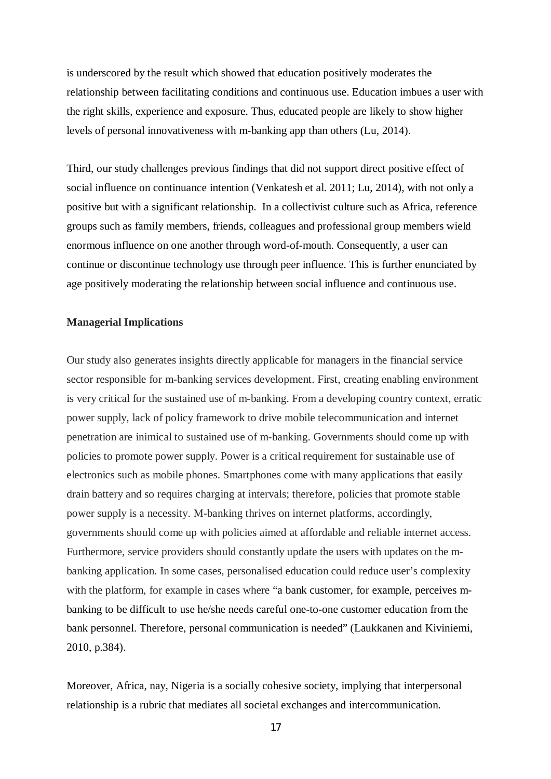is underscored by the result which showed that education positively moderates the relationship between facilitating conditions and continuous use. Education imbues a user with the right skills, experience and exposure. Thus, educated people are likely to show higher levels of personal innovativeness with m-banking app than others (Lu, 2014).

Third, our study challenges previous findings that did not support direct positive effect of social influence on continuance intention (Venkatesh et al. 2011; Lu, 2014), with not only a positive but with a significant relationship. In a collectivist culture such as Africa, reference groups such as family members, friends, colleagues and professional group members wield enormous influence on one another through word-of-mouth. Consequently, a user can continue or discontinue technology use through peer influence. This is further enunciated by age positively moderating the relationship between social influence and continuous use.

#### **Managerial Implications**

Our study also generates insights directly applicable for managers in the financial service sector responsible for m-banking services development. First, creating enabling environment is very critical for the sustained use of m-banking. From a developing country context, erratic power supply, lack of policy framework to drive mobile telecommunication and internet penetration are inimical to sustained use of m-banking. Governments should come up with policies to promote power supply. Power is a critical requirement for sustainable use of electronics such as mobile phones. Smartphones come with many applications that easily drain battery and so requires charging at intervals; therefore, policies that promote stable power supply is a necessity. M-banking thrives on internet platforms, accordingly, governments should come up with policies aimed at affordable and reliable internet access. Furthermore, service providers should constantly update the users with updates on the mbanking application. In some cases, personalised education could reduce user's complexity with the platform, for example in cases where "a bank customer, for example, perceives mbanking to be difficult to use he/she needs careful one-to-one customer education from the bank personnel. Therefore, personal communication is needed" (Laukkanen and Kiviniemi, 2010, p.384).

Moreover, Africa, nay, Nigeria is a socially cohesive society, implying that interpersonal relationship is a rubric that mediates all societal exchanges and intercommunication.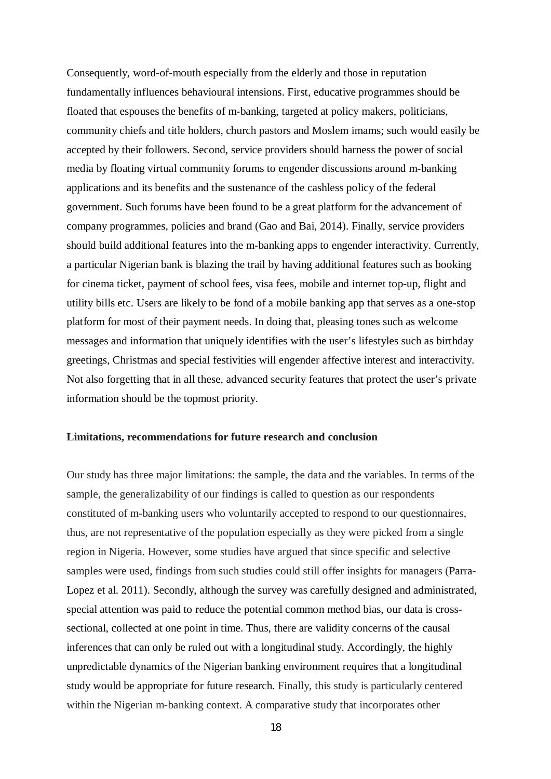Consequently, word-of-mouth especially from the elderly and those in reputation fundamentally influences behavioural intensions. First, educative programmes should be floated that espouses the benefits of m-banking, targeted at policy makers, politicians, community chiefs and title holders, church pastors and Moslem imams; such would easily be accepted by their followers. Second, service providers should harness the power of social media by floating virtual community forums to engender discussions around m-banking applications and its benefits and the sustenance of the cashless policy of the federal government. Such forums have been found to be a great platform for the advancement of company programmes, policies and brand (Gao and Bai, 2014). Finally, service providers should build additional features into the m-banking apps to engender interactivity. Currently, a particular Nigerian bank is blazing the trail by having additional features such as booking for cinema ticket, payment of school fees, visa fees, mobile and internet top-up, flight and utility bills etc. Users are likely to be fond of a mobile banking app that serves as a one-stop platform for most of their payment needs. In doing that, pleasing tones such as welcome messages and information that uniquely identifies with the user's lifestyles such as birthday greetings, Christmas and special festivities will engender affective interest and interactivity. Not also forgetting that in all these, advanced security features that protect the user's private information should be the topmost priority.

#### **Limitations, recommendations for future research and conclusion**

Our study has three major limitations: the sample, the data and the variables. In terms of the sample, the generalizability of our findings is called to question as our respondents constituted of m-banking users who voluntarily accepted to respond to our questionnaires, thus, are not representative of the population especially as they were picked from a single region in Nigeria. However, some studies have argued that since specific and selective samples were used, findings from such studies could still offer insights for managers (Parra-Lopez et al. 2011). Secondly, although the survey was carefully designed and administrated, special attention was paid to reduce the potential common method bias, our data is crosssectional, collected at one point in time. Thus, there are validity concerns of the causal inferences that can only be ruled out with a longitudinal study. Accordingly, the highly unpredictable dynamics of the Nigerian banking environment requires that a longitudinal study would be appropriate for future research. Finally, this study is particularly centered within the Nigerian m-banking context. A comparative study that incorporates other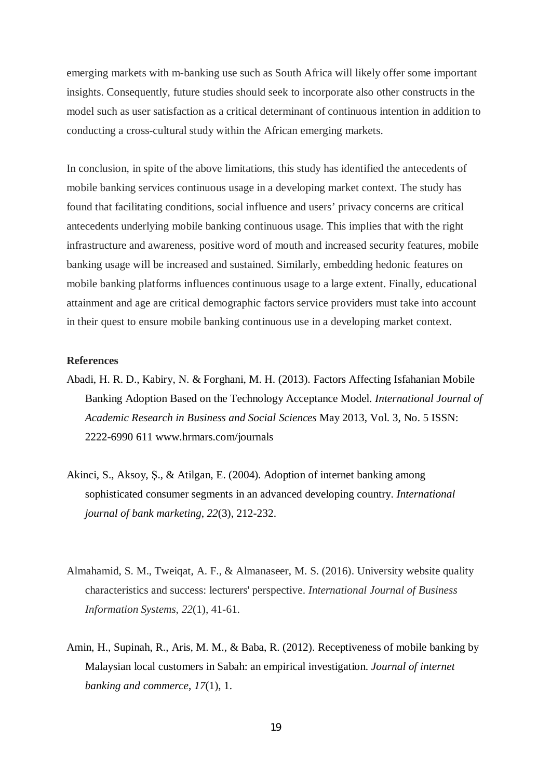emerging markets with m-banking use such as South Africa will likely offer some important insights. Consequently, future studies should seek to incorporate also other constructs in the model such as user satisfaction as a critical determinant of continuous intention in addition to conducting a cross-cultural study within the African emerging markets.

In conclusion, in spite of the above limitations, this study has identified the antecedents of mobile banking services continuous usage in a developing market context. The study has found that facilitating conditions, social influence and users' privacy concerns are critical antecedents underlying mobile banking continuous usage. This implies that with the right infrastructure and awareness, positive word of mouth and increased security features, mobile banking usage will be increased and sustained. Similarly, embedding hedonic features on mobile banking platforms influences continuous usage to a large extent. Finally, educational attainment and age are critical demographic factors service providers must take into account in their quest to ensure mobile banking continuous use in a developing market context.

#### **References**

- Abadi, H. R. D., Kabiry, N. & Forghani, M. H. (2013). Factors Affecting Isfahanian Mobile Banking Adoption Based on the Technology Acceptance Model. *International Journal of Academic Research in Business and Social Sciences* May 2013, Vol. 3, No. 5 ISSN: 2222-6990 611 www.hrmars.com/journals
- Akinci, S., Aksoy, Ş., & Atilgan, E. (2004). Adoption of internet banking among sophisticated consumer segments in an advanced developing country. *International journal of bank marketing*, *22*(3), 212-232.
- Almahamid, S. M., Tweiqat, A. F., & Almanaseer, M. S. (2016). University website quality characteristics and success: lecturers' perspective. *International Journal of Business Information Systems*, *22*(1), 41-61.
- Amin, H., Supinah, R., Aris, M. M., & Baba, R. (2012). Receptiveness of mobile banking by Malaysian local customers in Sabah: an empirical investigation. *Journal of internet banking and commerce*, *17*(1), 1.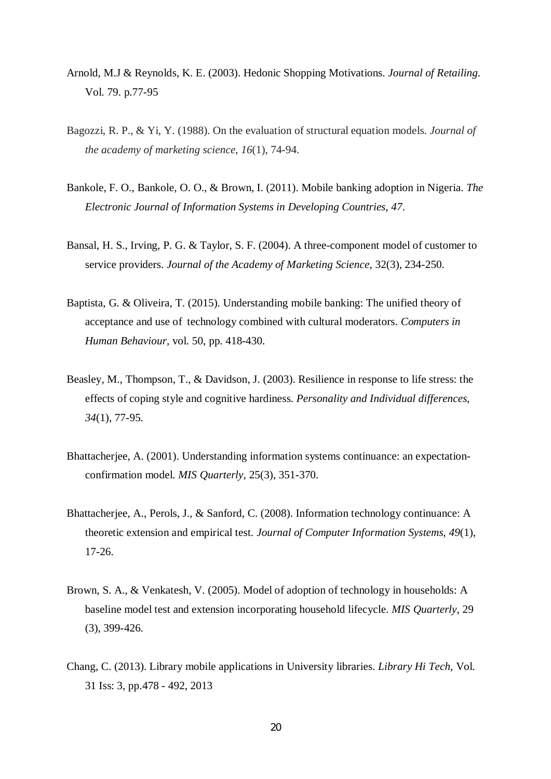- Arnold, M.J & Reynolds, K. E. (2003). Hedonic Shopping Motivations. *Journal of Retailing*. Vol. 79. p.77-95
- Bagozzi, R. P., & Yi, Y. (1988). On the evaluation of structural equation models. *Journal of the academy of marketing science*, *16*(1), 74-94.
- Bankole, F. O., Bankole, O. O., & Brown, I. (2011). Mobile banking adoption in Nigeria. *The Electronic Journal of Information Systems in Developing Countries*, *47*.
- Bansal, H. S., Irving, P. G. & Taylor, S. F. (2004). A three-component model of customer to service providers. *Journal of the Academy of Marketing Science*, 32(3), 234-250.
- Baptista, G. & Oliveira, T. (2015). Understanding mobile banking: The unified theory of acceptance and use of technology combined with cultural moderators. *Computers in Human Behaviour,* vol. 50, pp. 418-430.
- Beasley, M., Thompson, T., & Davidson, J. (2003). Resilience in response to life stress: the effects of coping style and cognitive hardiness. *Personality and Individual differences*, *34*(1), 77-95.
- Bhattacherjee, A. (2001). Understanding information systems continuance: an expectationconfirmation model. *MIS Quarterly*, 25(3), 351-370.
- Bhattacherjee, A., Perols, J., & Sanford, C. (2008). Information technology continuance: A theoretic extension and empirical test. *Journal of Computer Information Systems*, *49*(1), 17-26.
- Brown, S. A., & Venkatesh, V. (2005). Model of adoption of technology in households: A baseline model test and extension incorporating household lifecycle. *MIS Quarterly*, 29 (3), 399-426.
- Chang, C. (2013). Library mobile applications in University libraries. *Library Hi Tech*, Vol. 31 Iss: 3, pp.478 - 492, 2013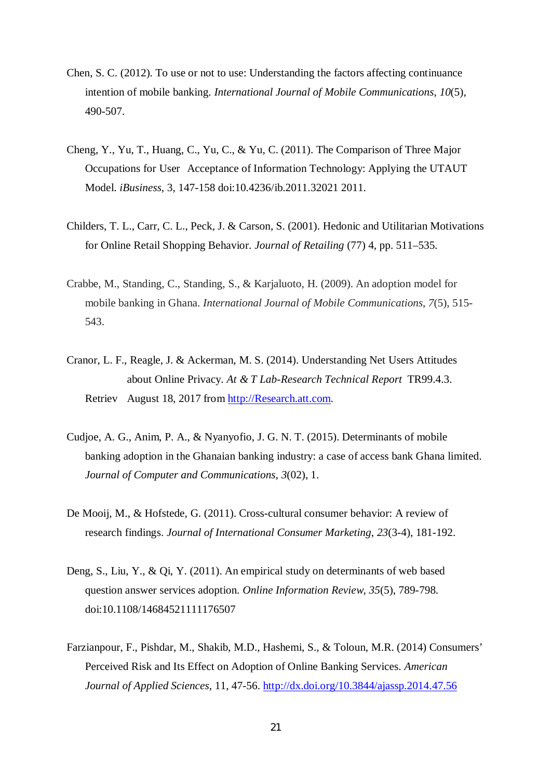- Chen, S. C. (2012). To use or not to use: Understanding the factors affecting continuance intention of mobile banking. *International Journal of Mobile Communications*, *10*(5), 490-507.
- Cheng, Y., Yu, T., Huang, C., Yu, C., & Yu, C. (2011). The Comparison of Three Major Occupations for User Acceptance of Information Technology: Applying the UTAUT Model. *iBusiness,* 3, 147-158 doi:10.4236/ib.2011.32021 2011.
- Childers, T. L., Carr, C. L., Peck, J. & Carson, S. (2001). Hedonic and Utilitarian Motivations for Online Retail Shopping Behavior. *Journal of Retailing* (77) 4, pp. 511–535.
- Crabbe, M., Standing, C., Standing, S., & Karjaluoto, H. (2009). An adoption model for mobile banking in Ghana. *International Journal of Mobile Communications*, *7*(5), 515- 543.
- Cranor, L. F., Reagle, J. & Ackerman, M. S. (2014). Understanding Net Users Attitudes about Online Privacy. *At & T Lab-Research Technical Report* TR99.4.3. Retriev August 18, 2017 from http://Research.att.com.
- Cudjoe, A. G., Anim, P. A., & Nyanyofio, J. G. N. T. (2015). Determinants of mobile banking adoption in the Ghanaian banking industry: a case of access bank Ghana limited. *Journal of Computer and Communications*, *3*(02), 1.
- De Mooij, M., & Hofstede, G. (2011). Cross-cultural consumer behavior: A review of research findings. *Journal of International Consumer Marketing*, *23*(3-4), 181-192.
- Deng, S., Liu, Y., & Qi, Y. (2011). An empirical study on determinants of web based question answer services adoption. *Online Information Review, 35*(5), 789-798. doi:10.1108/14684521111176507
- Farzianpour, F., Pishdar, M., Shakib, M.D., Hashemi, S., & Toloun, M.R. (2014) Consumers' Perceived Risk and Its Effect on Adoption of Online Banking Services. *American Journal of Applied Sciences*, 11, 47-56. http://dx.doi.org/10.3844/ajassp.2014.47.56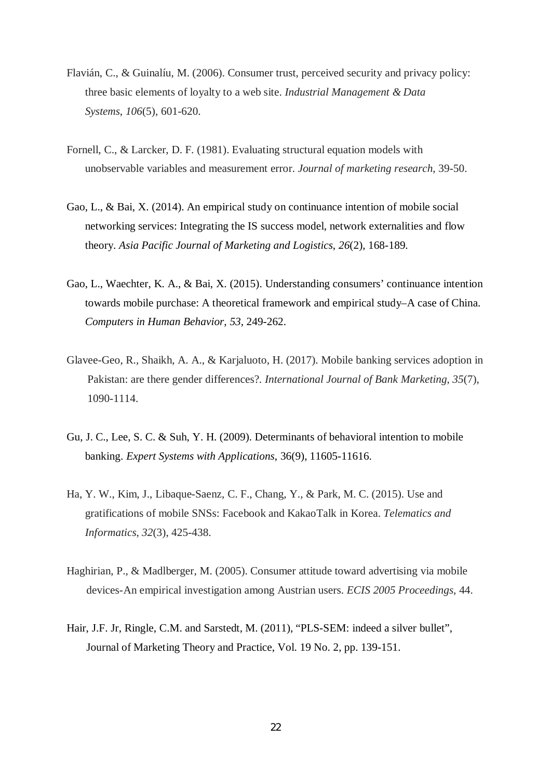- Flavián, C., & Guinalíu, M. (2006). Consumer trust, perceived security and privacy policy: three basic elements of loyalty to a web site. *Industrial Management & Data Systems*, *106*(5), 601-620.
- Fornell, C., & Larcker, D. F. (1981). Evaluating structural equation models with unobservable variables and measurement error. *Journal of marketing research*, 39-50.
- Gao, L., & Bai, X. (2014). An empirical study on continuance intention of mobile social networking services: Integrating the IS success model, network externalities and flow theory. *Asia Pacific Journal of Marketing and Logistics*, *26*(2), 168-189.
- Gao, L., Waechter, K. A., & Bai, X. (2015). Understanding consumers' continuance intention towards mobile purchase: A theoretical framework and empirical study–A case of China. *Computers in Human Behavior*, *53*, 249-262.
- Glavee-Geo, R., Shaikh, A. A., & Karjaluoto, H. (2017). Mobile banking services adoption in Pakistan: are there gender differences?. *International Journal of Bank Marketing*, *35*(7), 1090-1114.
- Gu, J. C., Lee, S. C. & Suh, Y. H. (2009). Determinants of behavioral intention to mobile banking. *Expert Systems with Applications*, 36(9), 11605-11616.
- Ha, Y. W., Kim, J., Libaque-Saenz, C. F., Chang, Y., & Park, M. C. (2015). Use and gratifications of mobile SNSs: Facebook and KakaoTalk in Korea. *Telematics and Informatics*, *32*(3), 425-438.
- Haghirian, P., & Madlberger, M. (2005). Consumer attitude toward advertising via mobile devices-An empirical investigation among Austrian users. *ECIS 2005 Proceedings*, 44.
- Hair, J.F. Jr, Ringle, C.M. and Sarstedt, M. (2011), "PLS-SEM: indeed a silver bullet", Journal of Marketing Theory and Practice, Vol. 19 No. 2, pp. 139-151.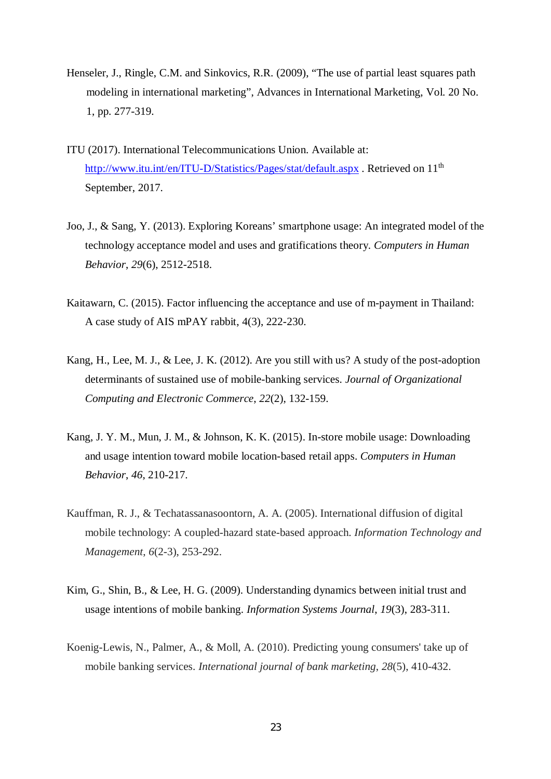- Henseler, J., Ringle, C.M. and Sinkovics, R.R. (2009), "The use of partial least squares path modeling in international marketing", Advances in International Marketing, Vol. 20 No. 1, pp. 277-319.
- ITU (2017). International Telecommunications Union. Available at: http://www.itu.int/en/ITU-D/Statistics/Pages/stat/default.aspx . Retrieved on 11<sup>th</sup> September, 2017.
- Joo, J., & Sang, Y. (2013). Exploring Koreans' smartphone usage: An integrated model of the technology acceptance model and uses and gratifications theory. *Computers in Human Behavior*, *29*(6), 2512-2518.
- Kaitawarn, C. (2015). Factor influencing the acceptance and use of m-payment in Thailand: A case study of AIS mPAY rabbit, 4(3), 222-230.
- Kang, H., Lee, M. J., & Lee, J. K. (2012). Are you still with us? A study of the post-adoption determinants of sustained use of mobile-banking services. *Journal of Organizational Computing and Electronic Commerce*, *22*(2), 132-159.
- Kang, J. Y. M., Mun, J. M., & Johnson, K. K. (2015). In-store mobile usage: Downloading and usage intention toward mobile location-based retail apps. *Computers in Human Behavior*, *46*, 210-217.
- Kauffman, R. J., & Techatassanasoontorn, A. A. (2005). International diffusion of digital mobile technology: A coupled-hazard state-based approach. *Information Technology and Management*, *6*(2-3), 253-292.
- Kim, G., Shin, B., & Lee, H. G. (2009). Understanding dynamics between initial trust and usage intentions of mobile banking. *Information Systems Journal*, *19*(3), 283-311.
- Koenig-Lewis, N., Palmer, A., & Moll, A. (2010). Predicting young consumers' take up of mobile banking services. *International journal of bank marketing*, *28*(5), 410-432.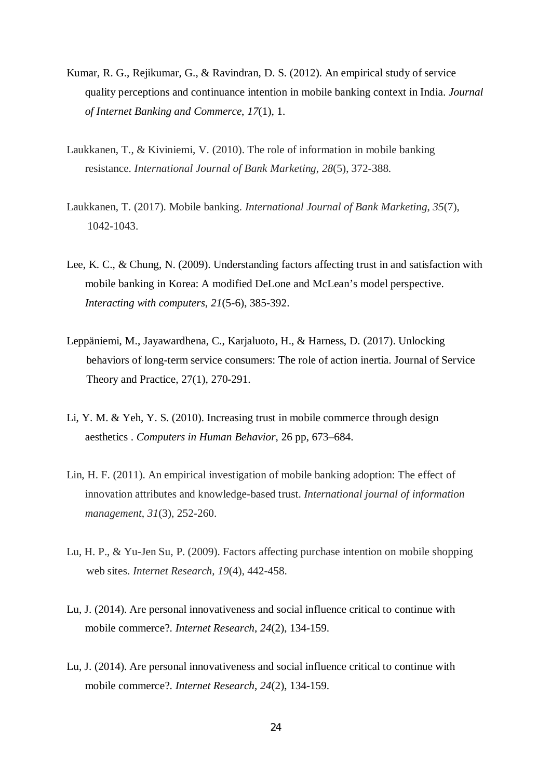- Kumar, R. G., Rejikumar, G., & Ravindran, D. S. (2012). An empirical study of service quality perceptions and continuance intention in mobile banking context in India. *Journal of Internet Banking and Commerce*, *17*(1), 1.
- Laukkanen, T., & Kiviniemi, V. (2010). The role of information in mobile banking resistance. *International Journal of Bank Marketing*, *28*(5), 372-388.
- Laukkanen, T. (2017). Mobile banking. *International Journal of Bank Marketing*, *35*(7), 1042-1043.
- Lee, K. C., & Chung, N. (2009). Understanding factors affecting trust in and satisfaction with mobile banking in Korea: A modified DeLone and McLean's model perspective. *Interacting with computers*, *21*(5-6), 385-392.
- Leppäniemi, M., Jayawardhena, C., Karjaluoto, H., & Harness, D. (2017). Unlocking behaviors of long-term service consumers: The role of action inertia. Journal of Service Theory and Practice, 27(1), 270-291.
- Li, Y. M. & Yeh, Y. S. (2010). Increasing trust in mobile commerce through design aesthetics . *Computers in Human Behavior*, 26 pp, 673–684.
- Lin, H. F. (2011). An empirical investigation of mobile banking adoption: The effect of innovation attributes and knowledge-based trust. *International journal of information management*, *31*(3), 252-260.
- Lu, H. P., & Yu-Jen Su, P. (2009). Factors affecting purchase intention on mobile shopping web sites. *Internet Research*, *19*(4), 442-458.
- Lu, J. (2014). Are personal innovativeness and social influence critical to continue with mobile commerce?. *Internet Research*, *24*(2), 134-159.
- Lu, J. (2014). Are personal innovativeness and social influence critical to continue with mobile commerce?. *Internet Research*, *24*(2), 134-159.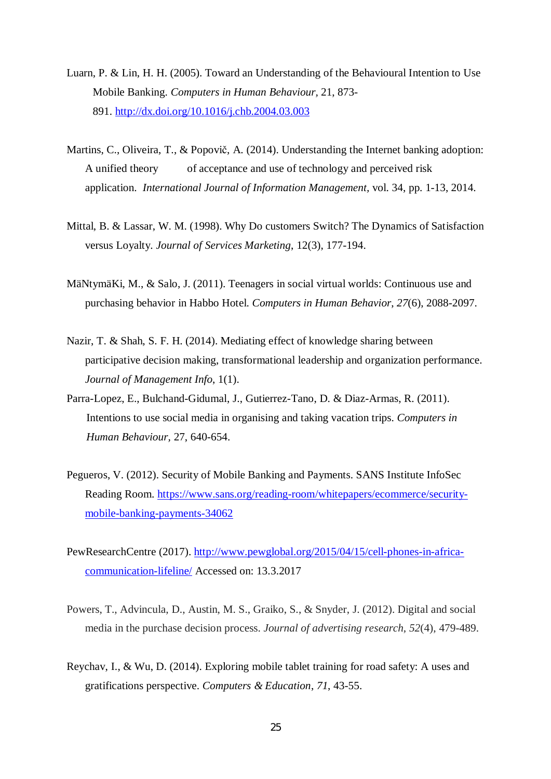- Luarn, P. & Lin, H. H. (2005). Toward an Understanding of the Behavioural Intention to Use Mobile Banking. *Computers in Human Behaviour,* 21, 873- 891. http://dx.doi.org/10.1016/j.chb.2004.03.003
- Martins, C., Oliveira, T., & Popovič, A. (2014). Understanding the Internet banking adoption: A unified theory of acceptance and use of technology and perceived risk application. *International Journal of Information Management,* vol. 34, pp. 1-13, 2014.
- Mittal, B. & Lassar, W. M. (1998). Why Do customers Switch? The Dynamics of Satisfaction versus Loyalty. *Journal of Services Marketing*, 12(3), 177-194.
- MäNtymäKi, M., & Salo, J. (2011). Teenagers in social virtual worlds: Continuous use and purchasing behavior in Habbo Hotel. *Computers in Human Behavior*, *27*(6), 2088-2097.
- Nazir, T. & Shah, S. F. H. (2014). Mediating effect of knowledge sharing between participative decision making, transformational leadership and organization performance. *Journal of Management Info*, 1(1).
- Parra-Lopez, E., Bulchand-Gidumal, J., Gutierrez-Tano, D. & Diaz-Armas, R. (2011). Intentions to use social media in organising and taking vacation trips. *Computers in Human Behaviour,* 27, 640-654.
- Pegueros, V. (2012). Security of Mobile Banking and Payments. SANS Institute InfoSec Reading Room. https://www.sans.org/reading-room/whitepapers/ecommerce/securitymobile-banking-payments-34062
- PewResearchCentre (2017). http://www.pewglobal.org/2015/04/15/cell-phones-in-africacommunication-lifeline/ Accessed on: 13.3.2017
- Powers, T., Advincula, D., Austin, M. S., Graiko, S., & Snyder, J. (2012). Digital and social media in the purchase decision process. *Journal of advertising research*, *52*(4), 479-489.
- Reychav, I., & Wu, D. (2014). Exploring mobile tablet training for road safety: A uses and gratifications perspective. *Computers & Education*, *71*, 43-55.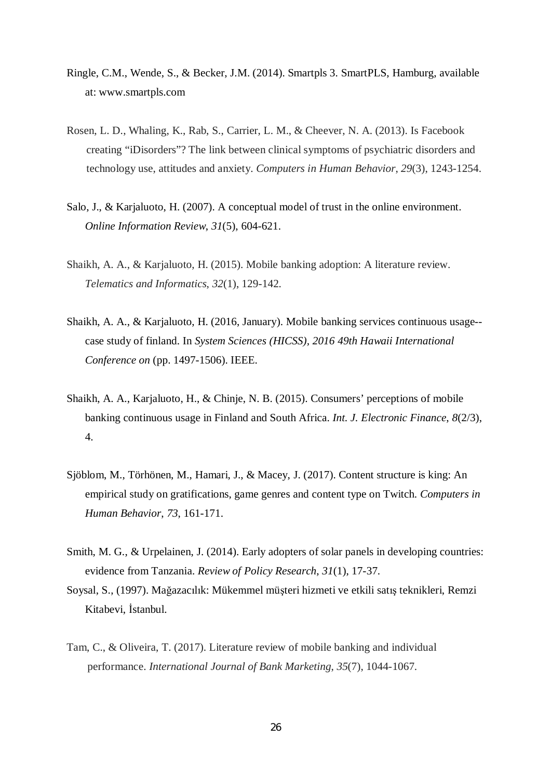- Ringle, C.M., Wende, S., & Becker, J.M. (2014). Smartpls 3. SmartPLS, Hamburg, available at: www.smartpls.com
- Rosen, L. D., Whaling, K., Rab, S., Carrier, L. M., & Cheever, N. A. (2013). Is Facebook creating "iDisorders"? The link between clinical symptoms of psychiatric disorders and technology use, attitudes and anxiety. *Computers in Human Behavior*, *29*(3), 1243-1254.
- Salo, J., & Karjaluoto, H. (2007). A conceptual model of trust in the online environment. *Online Information Review*, *31*(5), 604-621.
- Shaikh, A. A., & Karjaluoto, H. (2015). Mobile banking adoption: A literature review. *Telematics and Informatics*, *32*(1), 129-142.
- Shaikh, A. A., & Karjaluoto, H. (2016, January). Mobile banking services continuous usage- case study of finland. In *System Sciences (HICSS), 2016 49th Hawaii International Conference on* (pp. 1497-1506). IEEE.
- Shaikh, A. A., Karjaluoto, H., & Chinje, N. B. (2015). Consumers' perceptions of mobile banking continuous usage in Finland and South Africa. *Int. J. Electronic Finance*, *8*(2/3), 4.
- Sjöblom, M., Törhönen, M., Hamari, J., & Macey, J. (2017). Content structure is king: An empirical study on gratifications, game genres and content type on Twitch. *Computers in Human Behavior*, *73*, 161-171.
- Smith, M. G., & Urpelainen, J. (2014). Early adopters of solar panels in developing countries: evidence from Tanzania. *Review of Policy Research*, *31*(1), 17-37.
- Soysal, S., (1997). Mağazacılık: Mükemmel müşteri hizmeti ve etkili satış teknikleri, Remzi Kitabevi, İstanbul.
- Tam, C., & Oliveira, T. (2017). Literature review of mobile banking and individual performance. *International Journal of Bank Marketing*, *35*(7), 1044-1067.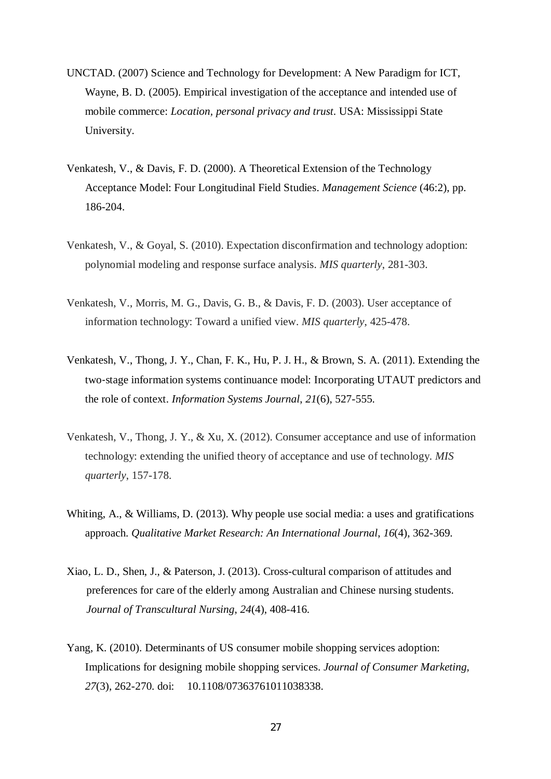- UNCTAD. (2007) Science and Technology for Development: A New Paradigm for ICT, Wayne, B. D. (2005). Empirical investigation of the acceptance and intended use of mobile commerce: *Location, personal privacy and trust*. USA: Mississippi State University.
- Venkatesh, V., & Davis, F. D. (2000). A Theoretical Extension of the Technology Acceptance Model: Four Longitudinal Field Studies. *Management Science* (46:2), pp. 186-204.
- Venkatesh, V., & Goyal, S. (2010). Expectation disconfirmation and technology adoption: polynomial modeling and response surface analysis. *MIS quarterly*, 281-303.
- Venkatesh, V., Morris, M. G., Davis, G. B., & Davis, F. D. (2003). User acceptance of information technology: Toward a unified view. *MIS quarterly*, 425-478.
- Venkatesh, V., Thong, J. Y., Chan, F. K., Hu, P. J. H., & Brown, S. A. (2011). Extending the two-stage information systems continuance model: Incorporating UTAUT predictors and the role of context. *Information Systems Journal*, *21*(6), 527-555.
- Venkatesh, V., Thong, J. Y., & Xu, X. (2012). Consumer acceptance and use of information technology: extending the unified theory of acceptance and use of technology. *MIS quarterly*, 157-178.
- Whiting, A., & Williams, D. (2013). Why people use social media: a uses and gratifications approach. *Qualitative Market Research: An International Journal*, *16*(4), 362-369.
- Xiao, L. D., Shen, J., & Paterson, J. (2013). Cross-cultural comparison of attitudes and preferences for care of the elderly among Australian and Chinese nursing students. *Journal of Transcultural Nursing*, *24*(4), 408-416.
- Yang, K. (2010). Determinants of US consumer mobile shopping services adoption: Implications for designing mobile shopping services. *Journal of Consumer Marketing, 27*(3), 262-270. doi: 10.1108/07363761011038338.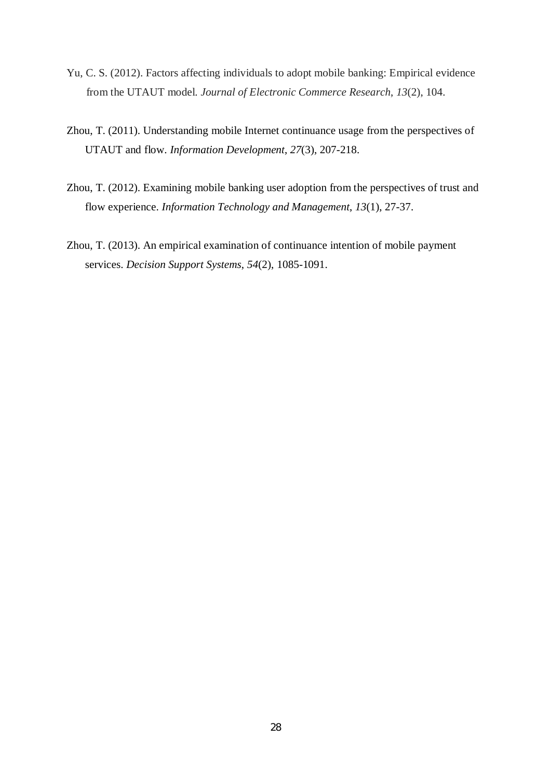- Yu, C. S. (2012). Factors affecting individuals to adopt mobile banking: Empirical evidence from the UTAUT model. *Journal of Electronic Commerce Research*, *13*(2), 104.
- Zhou, T. (2011). Understanding mobile Internet continuance usage from the perspectives of UTAUT and flow. *Information Development*, *27*(3), 207-218.
- Zhou, T. (2012). Examining mobile banking user adoption from the perspectives of trust and flow experience. *Information Technology and Management*, *13*(1), 27-37.
- Zhou, T. (2013). An empirical examination of continuance intention of mobile payment services. *Decision Support Systems*, *54*(2), 1085-1091.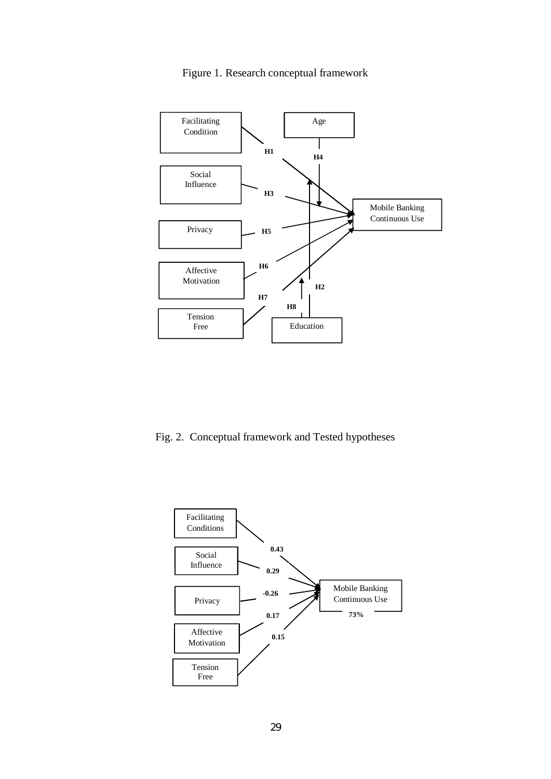

## Figure 1. Research conceptual framework

Fig. 2. Conceptual framework and Tested hypotheses

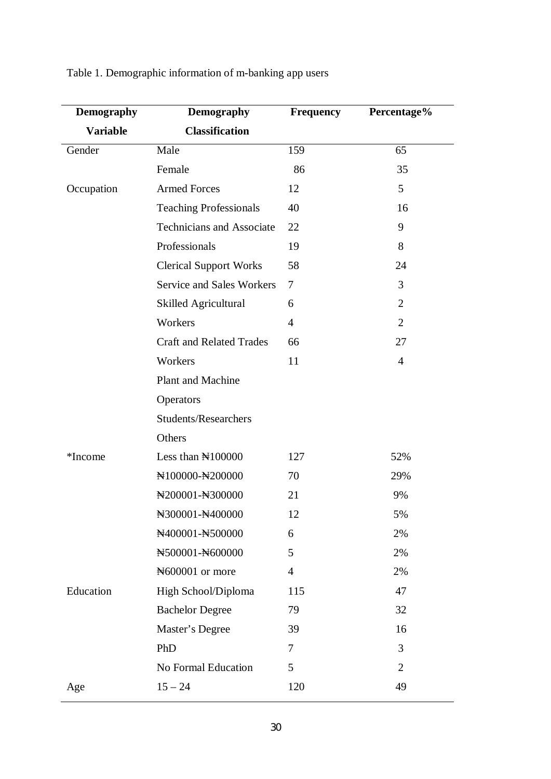| <b>Demography</b> | <b>Demography</b>                        | Frequency      | Percentage%    |
|-------------------|------------------------------------------|----------------|----------------|
| <b>Variable</b>   | <b>Classification</b>                    |                |                |
| Gender            | Male                                     | 159            | 65             |
|                   | Female                                   | 86             | 35             |
| Occupation        | <b>Armed Forces</b>                      | 12             | 5              |
|                   | <b>Teaching Professionals</b>            | 40             | 16             |
|                   | <b>Technicians and Associate</b>         | 22             | 9              |
|                   | Professionals                            | 19             | 8              |
|                   | <b>Clerical Support Works</b>            | 58             | 24             |
|                   | <b>Service and Sales Workers</b>         | $\tau$         | 3              |
|                   | Skilled Agricultural                     | 6              | $\overline{2}$ |
|                   | Workers                                  | $\overline{4}$ | $\overline{2}$ |
|                   | <b>Craft and Related Trades</b>          | 66             | 27             |
|                   | Workers                                  | 11             | $\overline{4}$ |
|                   | <b>Plant and Machine</b>                 |                |                |
|                   | Operators                                |                |                |
|                   | Students/Researchers                     |                |                |
|                   | Others                                   |                |                |
| *Income           | Less than $\mathbb{N}100000$             | 127            | 52%            |
|                   | N100000-N200000                          | 70             | 29%            |
|                   | N200001-N300000                          | 21             | 9%             |
|                   | N <sub>300001</sub> -N <sub>400000</sub> | 12             | 5%             |
|                   | N400001-N500000                          | 6              | 2%             |
|                   | N500001-N600000                          | 5              | 2%             |
|                   | Notice 000001 or more                    | $\overline{4}$ | 2%             |
| Education         | High School/Diploma                      | 115            | 47             |
|                   | <b>Bachelor Degree</b>                   | 79             | 32             |
|                   | Master's Degree                          | 39             | 16             |
|                   | PhD                                      | $\overline{7}$ | 3              |
|                   | No Formal Education                      | 5              | $\overline{2}$ |
| Age               | $15 - 24$                                | 120            | 49             |

# Table 1. Demographic information of m-banking app users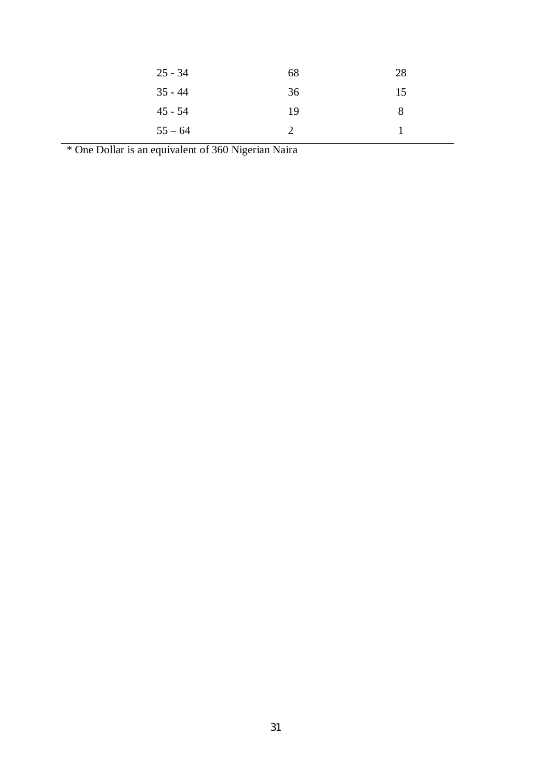| $25 - 34$ | 68 | 28 |
|-----------|----|----|
| $35 - 44$ | 36 | 15 |
| $45 - 54$ | 19 |    |
| $55 - 64$ |    |    |

\* One Dollar is an equivalent of 360 Nigerian Naira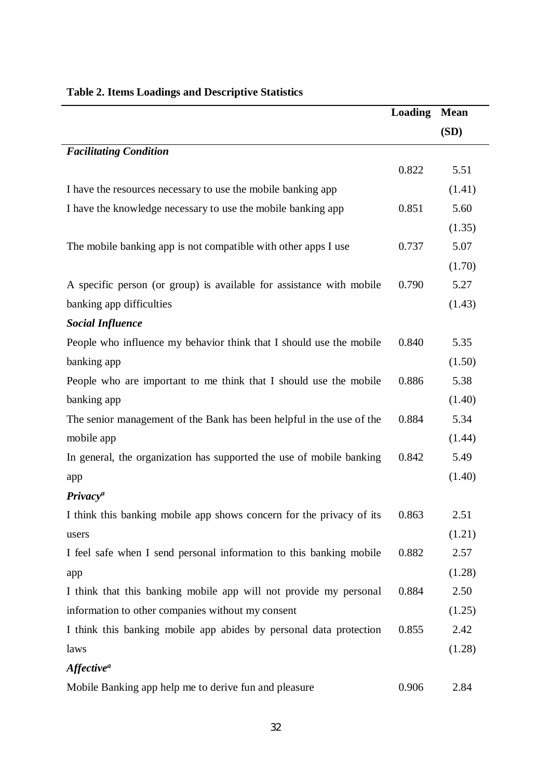|                                                                      | <b>Loading</b> | <b>Mean</b> |
|----------------------------------------------------------------------|----------------|-------------|
|                                                                      |                | (SD)        |
| <b>Facilitating Condition</b>                                        |                |             |
|                                                                      | 0.822          | 5.51        |
| I have the resources necessary to use the mobile banking app         |                | (1.41)      |
| I have the knowledge necessary to use the mobile banking app         | 0.851          | 5.60        |
|                                                                      |                | (1.35)      |
| The mobile banking app is not compatible with other apps I use       | 0.737          | 5.07        |
|                                                                      |                | (1.70)      |
| A specific person (or group) is available for assistance with mobile | 0.790          | 5.27        |
| banking app difficulties                                             |                | (1.43)      |
| <b>Social Influence</b>                                              |                |             |
| People who influence my behavior think that I should use the mobile  | 0.840          | 5.35        |
| banking app                                                          |                | (1.50)      |
| People who are important to me think that I should use the mobile    | 0.886          | 5.38        |
| banking app                                                          |                | (1.40)      |
| The senior management of the Bank has been helpful in the use of the | 0.884          | 5.34        |
| mobile app                                                           |                | (1.44)      |
| In general, the organization has supported the use of mobile banking | 0.842          | 5.49        |
| app                                                                  |                | (1.40)      |
| <b>Privacy<sup>a</sup></b>                                           |                |             |
| I think this banking mobile app shows concern for the privacy of its | 0.863          | 2.51        |
| users                                                                |                | (1.21)      |
| I feel safe when I send personal information to this banking mobile  | 0.882          | 2.57        |
| app                                                                  |                | (1.28)      |
| I think that this banking mobile app will not provide my personal    | 0.884          | 2.50        |
| information to other companies without my consent                    |                | (1.25)      |
| I think this banking mobile app abides by personal data protection   | 0.855          | 2.42        |
| laws                                                                 |                | (1.28)      |
| <b>Affective<sup>a</sup></b>                                         |                |             |
| Mobile Banking app help me to derive fun and pleasure                | 0.906          | 2.84        |

# **Table 2. Items Loadings and Descriptive Statistics**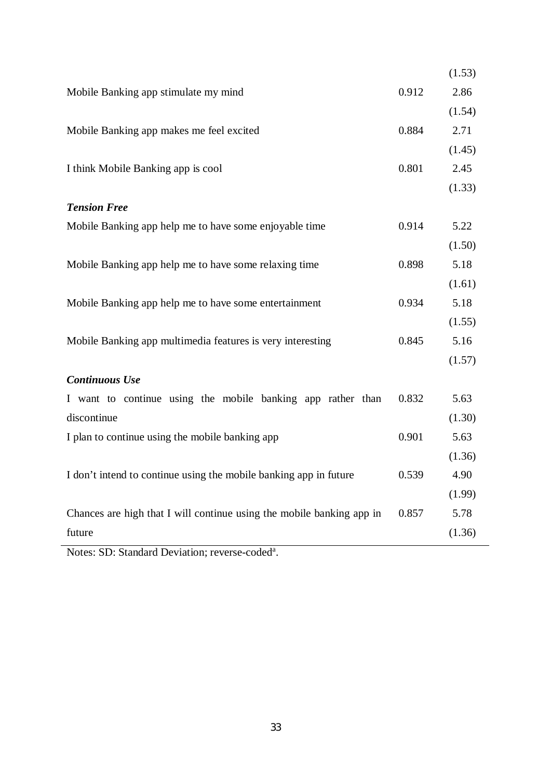|       | (1.53) |
|-------|--------|
| 0.912 | 2.86   |
|       | (1.54) |
| 0.884 | 2.71   |
|       | (1.45) |
| 0.801 | 2.45   |
|       | (1.33) |
|       |        |
| 0.914 | 5.22   |
|       | (1.50) |
| 0.898 | 5.18   |
|       | (1.61) |
| 0.934 | 5.18   |
|       | (1.55) |
| 0.845 | 5.16   |
|       | (1.57) |
|       |        |
| 0.832 | 5.63   |
|       | (1.30) |
| 0.901 | 5.63   |
|       | (1.36) |
| 0.539 | 4.90   |
|       | (1.99) |
| 0.857 | 5.78   |
|       | (1.36) |
|       |        |

Notes: SD: Standard Deviation; reverse-coded<sup>a</sup>.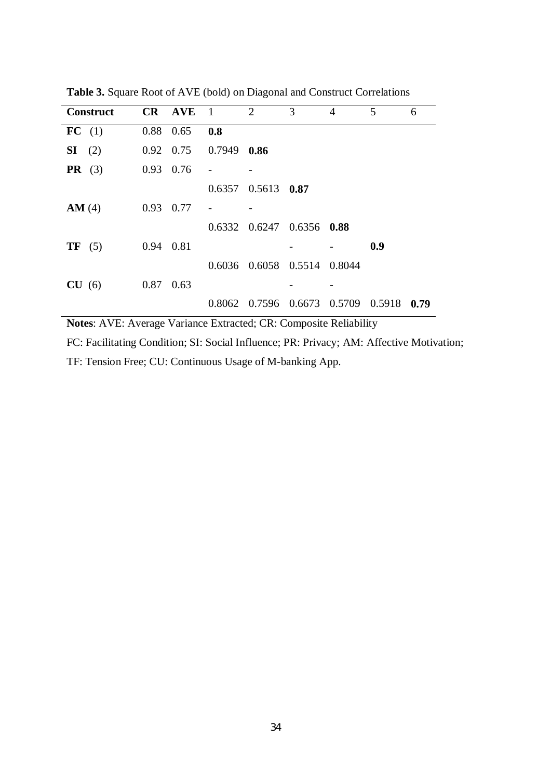| <b>Construct</b> |           | CR AVE            | $\overline{1}$ | 2                                 | 3             | $\overline{4}$ | 5      | 6    |
|------------------|-----------|-------------------|----------------|-----------------------------------|---------------|----------------|--------|------|
| FC (1)           | 0.88 0.65 |                   | 0.8            |                                   |               |                |        |      |
| $SI$ (2)         |           | $0.92 \quad 0.75$ | 0.7949         | 0.86                              |               |                |        |      |
| PR(3)            | 0.93      | 0.76              |                |                                   |               |                |        |      |
|                  |           |                   |                | $0.6357$ $0.5613$ $0.87$          |               |                |        |      |
| AM(4)            | 0.93      | 0.77              |                |                                   |               |                |        |      |
|                  |           |                   |                | $0.6332$ $0.6247$ $0.6356$ $0.88$ |               |                |        |      |
| TF(5)            | 0.94 0.81 |                   |                |                                   |               |                | 0.9    |      |
|                  |           |                   |                | 0.6036 0.6058 0.5514 0.8044       |               |                |        |      |
| CU(6)            | 0.87      | 0.63              |                |                                   |               |                |        |      |
|                  |           |                   | 0.8062         | 0.7596                            | 0.6673 0.5709 |                | 0.5918 | 0.79 |

**Table 3.** Square Root of AVE (bold) on Diagonal and Construct Correlations

**Notes**: AVE: Average Variance Extracted; CR: Composite Reliability

FC: Facilitating Condition; SI: Social Influence; PR: Privacy; AM: Affective Motivation;

TF: Tension Free; CU: Continuous Usage of M-banking App.